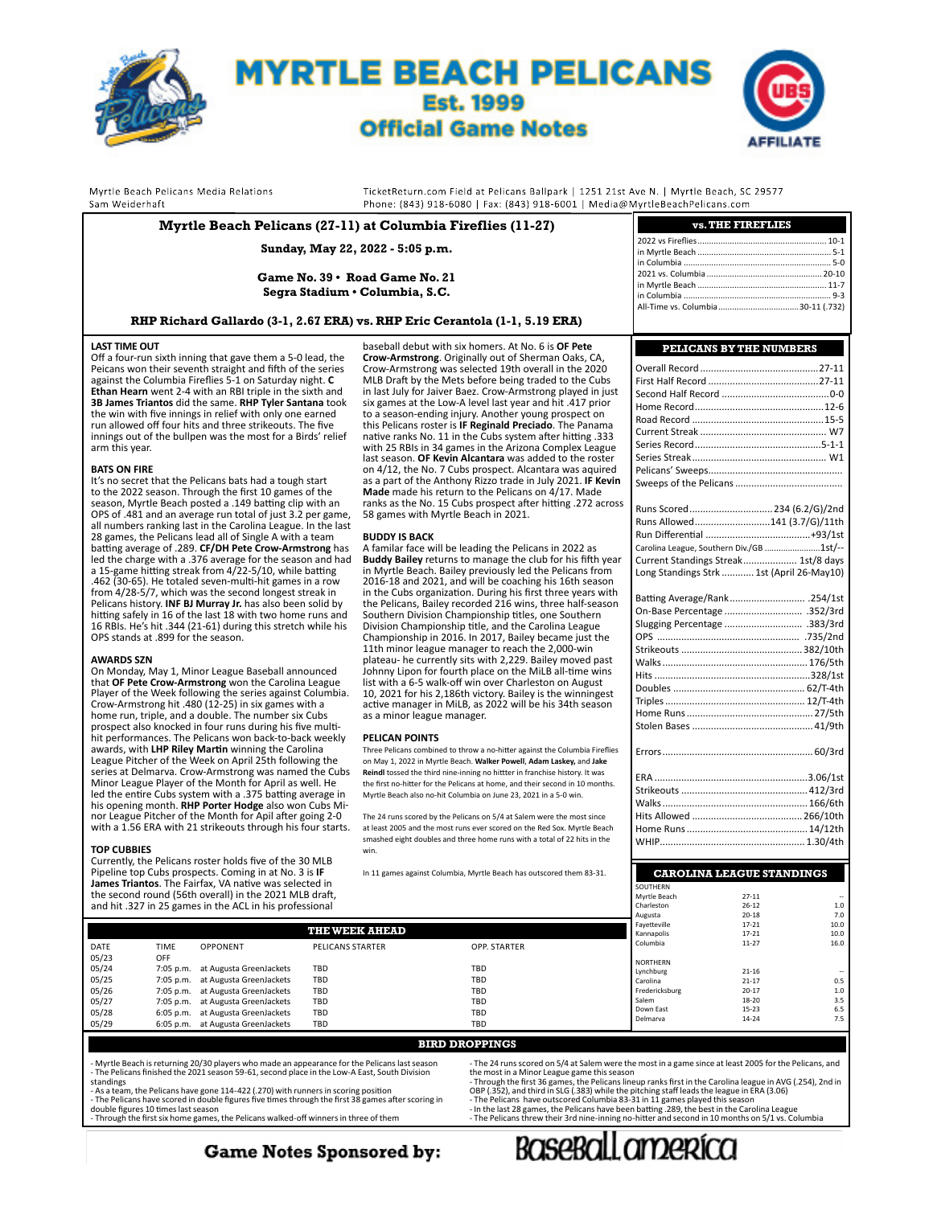

**Myrtle Beach Pelicans (27-11) at Columbia Fireflies (11-27)**



**vs. THE FIREFLIES**

Myrtle Beach Pelicans Media Relations Sam Weiderhaft

TicketReturn.com Field at Pelicans Ballpark | 1251 21st Ave N. | Myrtle Beach, SC 29577 Phone: (843) 918-6080 | Fax: (843) 918-6001 | Media@MyrtleBeachPelicans.com

#### **Sunday, May 22, 2022 - 5:05 p.m. Game No. 39 • Road Game No. 21 Segra Stadium • Columbia, S.C. RHP Richard Gallardo (3-1, 2.67 ERA) vs. RHP Eric Cerantola (1-1, 5.19 ERA) LAST TIME OUT** Off a four-run sixth inning that gave them a 5-0 lead, the Peicans won their seventh straight and fifth of the series against the Columbia Fireflies 5-1 on Saturday night. **C**  baseball debut with six homers. At No. 6 is **OF Pete Crow-Armstrong**. Originally out of Sherman Oaks, CA, Crow-Armstrong was selected 19th overall in the 2020 MLB Draft by the Mets before being traded to the Cubs in last July for Jaiver Baez. Crow-Armstrong played in just 2022 vs Fireflies........................................................ 10-1 in Myrtle Beach. in Columbia ................................................................ 5-0 2021 vs. Columbia .................................................. 20-10 in Myrtle Beach ........................................................ 11-7 in Columbia ................................................................ 9-3 All-Time vs. Columbia.....

**Ethan Hearn** went 2-4 with an RBI triple in the sixth and **3B James Triantos** did the same. **RHP Tyler Santana** took the win with five innings in relief with only one earned run allowed off four hits and three strikeouts. The five innings out of the bullpen was the most for a Birds' relief arm this year.

#### **BATS ON FIRE**

It's no secret that the Pelicans bats had a tough start to the 2022 season. Through the first 10 games of the season, Myrtle Beach posted a .149 batting clip with an OPS of .481 and an average run total of just 3.2 per game, all numbers ranking last in the Carolina League. In the last 28 games, the Pelicans lead all of Single A with a team batting average of .289. **CF/DH Pete Crow-Armstrong** has led the charge with a .376 average for the season and had a 15-game hitting streak from 4/22-5/10, while batting .462 (30-65). He totaled seven-multi-hit games in a row from 4/28-5/7, which was the second longest streak in Pelicans history. **INF BJ Murray Jr.** has also been solid by hitting safely in 16 of the last 18 with two home runs and 16 RBIs. He's hit .344 (21-61) during this stretch while his OPS stands at .899 for the season.

#### **AWARDS SZN**

On Monday, May 1, Minor League Baseball announced that **OF Pete Crow-Armstrong** won the Carolina League<br>Player of the Week following the series against Columbia.<br>Crow-Armstrong hit .480 (12-25) in six games with a home run, triple, and a double. The number six Cubs prospect also knocked in four runs during his five multihit performances. The Pelicans won back-to-back weekly<br>awards, with **LHP Riley Martin** winning the Carolina<br>League Pitcher of the Week on April 25th following the series at Delmarva. Crow-Armstrong was named the Cubs Minor League Player of the Month for April as well. He led the entire Cubs system with a .375 batting average in his opening month. **RHP Porter Hodge** also won Cubs Minor League Pitcher of the Month for Apil after going 2-0 with a 1.56 ERA with 21 strikeouts through his four starts.

## **TOP CUBBIES**

Currently, the Pelicans roster holds five of the 30 MLB Pipeline top Cubs prospects. Coming in at No. 3 is **IF James Triantos**. The Fairfax, VA native was selected in the second round (56th overall) in the 2021 MLB draft, and hit .327 in 25 games in the ACL in his professional six games at the Low-A level last year and hit .417 prior to a season-ending injury. Another young prospect on this Pelicans roster is **IF Reginald Preciado**. The Panama native ranks No. 11 in the Cubs system after hitting .333 with 25 RBIs in 34 games in the Arizona Complex League last season. **OF Kevin Alcantara** was added to the roster on 4/12, the No. 7 Cubs prospect. Alcantara was aquired as a part of the Anthony Rizzo trade in July 2021. **IF Kevin Made** made his return to the Pelicans on 4/17. Made ranks as the No. 15 Cubs prospect after hitting .272 across 58 games with Myrtle Beach in 2021.

#### **BUDDY IS BACK**

A familar face will be leading the Pelicans in 2022 as **Buddy Bailey** returns to manage the club for his fifth year in Myrtle Beach. Bailey previously led the Pelicans from 2016-18 and 2021, and will be coaching his 16th season in the Cubs organization. During his first three years with the Pelicans, Bailey recorded 216 wins, three half-season Southern Division Championship titles, one Southern Division Championship title, and the Carolina League Championship in 2016. In 2017, Bailey became just the 11th minor league manager to reach the 2,000-win plateau- he currently sits with 2,229. Bailey moved past Johnny Lipon for fourth place on the MiLB all-time wins list with a 6-5 walk-off win over Charleston on August 10, 2021 for his 2,186th victory. Bailey is the winningest active manager in MiLB, as 2022 will be his 34th season as a minor league manager.

#### **PELICAN POINTS**

Three Pelicans combined to throw a no-hitter against the Columbia Fireflies on May 1, 2022 in Myrtle Beach. **Walker Powell**, **Adam Laskey,** and **Jake Reindl** tossed the third nine-inning no hittter in franchise history. It was the first no-hitter for the Pelicans at home, and their second in 10 months. Myrtle Beach also no-hit Columbia on June 23, 2021 in a 5-0 win.

The 24 runs scored by the Pelicans on 5/4 at Salem were the most since at least 2005 and the most runs ever scored on the Red Sox. Myrtle Beach smashed eight doubles and three home runs with a total of 22 hits in the win.

In 11 games against Columbia, Myrtle Beach has outscored them 83-31.

| <b>PELICANS BY THE NUMBERS</b>                       |
|------------------------------------------------------|
|                                                      |
|                                                      |
|                                                      |
|                                                      |
|                                                      |
|                                                      |
|                                                      |
|                                                      |
|                                                      |
|                                                      |
| Runs Scored234 (6.2/G)/2nd                           |
| Runs Allowed141 (3.7/G)/11th                         |
|                                                      |
| Carolina League, Southern Div./GB 1st/--             |
| Current Standings Streak 1st/8 days                  |
| Long Standings Strk  1st (April 26-May10)            |
|                                                      |
| Batting Average/Rank .254/1st                        |
|                                                      |
|                                                      |
|                                                      |
|                                                      |
|                                                      |
|                                                      |
|                                                      |
|                                                      |
|                                                      |
|                                                      |
|                                                      |
|                                                      |
|                                                      |
|                                                      |
|                                                      |
|                                                      |
|                                                      |
|                                                      |
|                                                      |
| <b>CAROLINA LEAGUE STANDINGS</b><br><b>SOLITHERN</b> |

| and hit .327 in 25 games in the ACL in his professional |                                   |                         | Charleston   | $26 - 12$      | 1.0       |      |
|---------------------------------------------------------|-----------------------------------|-------------------------|--------------|----------------|-----------|------|
|                                                         |                                   |                         |              | Augusta        | $20 - 18$ | 7.0  |
|                                                         |                                   | THE WEEK AHEAD          |              | Favetteville   | $17 - 21$ | 10.0 |
|                                                         |                                   |                         |              | Kannapolis     | $17 - 21$ | 10.0 |
| DATE                                                    | <b>TIME</b><br>OPPONENT           | <b>PELICANS STARTER</b> | OPP. STARTER | Columbia       | 11-27     | 16.0 |
| 05/23                                                   | OFF                               |                         |              | NORTHERN       |           |      |
| 05/24                                                   | 7:05 p.m. at Augusta GreenJackets | TBD                     | TBD          | Lynchburg      | $21 - 16$ |      |
| 05/25                                                   | 7:05 p.m. at Augusta GreenJackets | TBD                     | <b>TBD</b>   | Carolina       | $21 - 17$ | 0.5  |
| 05/26                                                   | 7:05 p.m. at Augusta GreenJackets | TBD                     | <b>TBD</b>   | Fredericksburg | $20 - 17$ | 1.0  |
| 05/27                                                   | 7:05 p.m. at Augusta GreenJackets | TBD                     | <b>TBD</b>   | Salem          | 18-20     | 3.5  |
| 05/28                                                   | 6:05 p.m. at Augusta GreenJackets | TBD                     | <b>TBD</b>   | Down East      | $15 - 23$ | 6.5  |
| 05/29                                                   | 6:05 p.m. at Augusta GreenJackets | TBD                     | <b>TBD</b>   | Delmarya       | 14-24     | 7.5  |
|                                                         |                                   |                         |              |                |           |      |

#### **BIRD DROPPINGS**

- Myrtle Beach is returning 20/30 players who made an appearance for the Pelicans last season - The Pelicans finished the 2021 season 59-61, second place in the Low-A East, South Division standings

- As a team, the Pelicans have gone 114-422 (.270) with runners in scoring position - The Pelicans have scored in double figures five times through the first 38 games after scoring in<br>double figures 10 times last season<br>- Through the first six home games, the Pelicans walked-off winners in three of them

- The 24 runs scored on 5/4 at Salem were the most in a game since at least 2005 for the Pelicans, and the most in a Minor League game this season - Through the first 36 games, the Pelicans lineup ranks first in the Carolina league in AVG (.254), 2nd in

Myrtle Beach 27-11

OBP (.352), and third in SLG (.383) while the pitching staff leads the league in ERA (3.06)

- The Pelicans have outscored Columbia 83-31 in 11 games played this season<br>- In the last 28 games, the Pelicans have been batting .289, the best in the Carolina League<br>- The Pelicans threw their 3rd nine-inning no-hitter

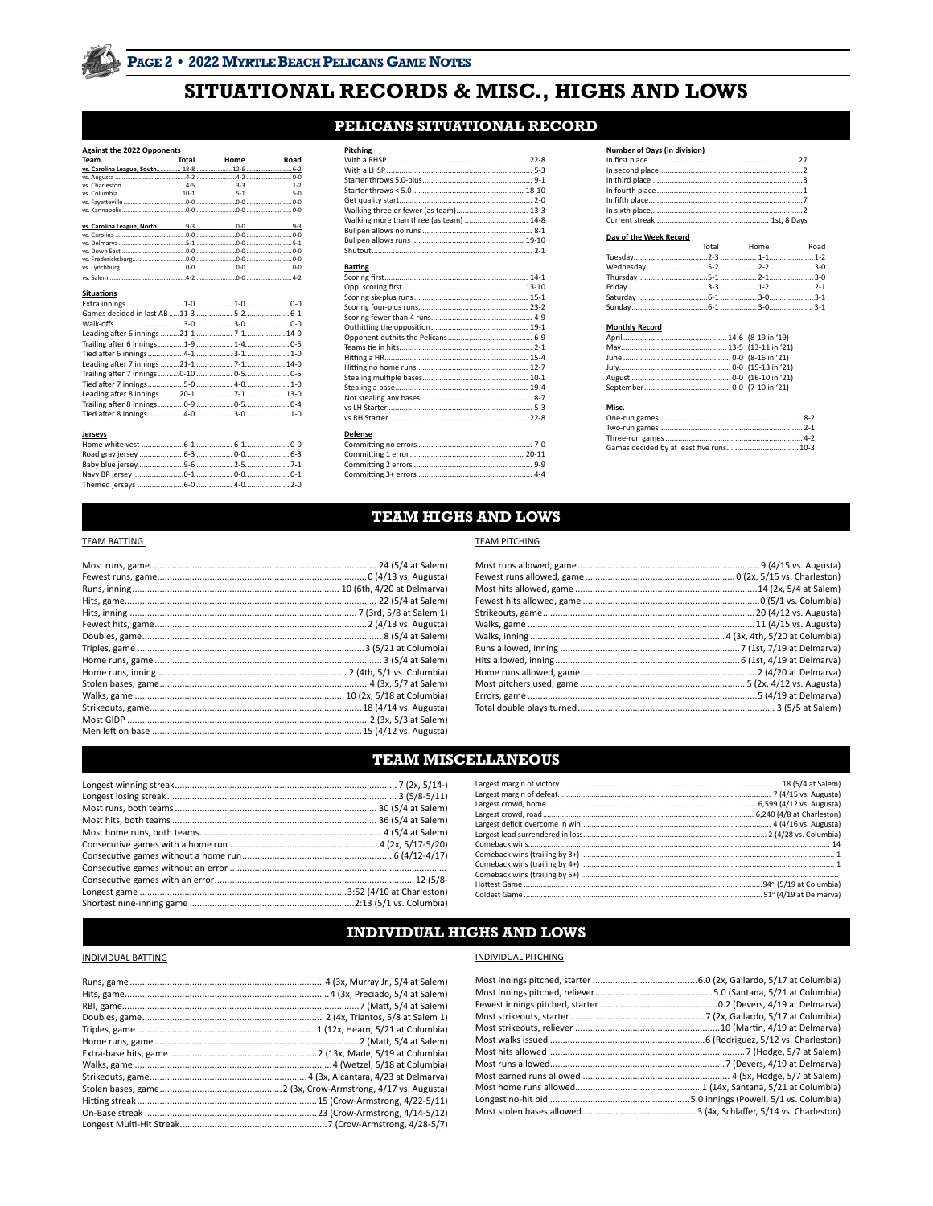## SITUATIONAL RECORDS & MISC., HIGHS AND LOWS

### PELICANS SITUATIONAL RECORD

| <b>Against the 2022 Opponents</b> |  |            |      |
|-----------------------------------|--|------------|------|
| Team                              |  | Total Home | Road |
|                                   |  |            |      |
|                                   |  |            |      |
|                                   |  |            |      |
|                                   |  |            |      |
|                                   |  |            |      |
|                                   |  |            |      |
|                                   |  |            |      |
|                                   |  |            |      |
|                                   |  |            |      |
|                                   |  |            |      |
|                                   |  |            |      |
|                                   |  |            |      |
|                                   |  |            |      |
| <b>Situations</b>                 |  |            |      |
|                                   |  |            |      |
|                                   |  |            |      |
|                                   |  |            |      |
|                                   |  |            |      |
|                                   |  |            |      |
|                                   |  |            |      |
|                                   |  |            |      |
|                                   |  |            |      |
|                                   |  |            |      |
|                                   |  |            |      |
|                                   |  |            |      |
|                                   |  |            |      |
|                                   |  |            |      |
| <b>Jerseys</b>                    |  |            |      |
|                                   |  |            |      |
|                                   |  |            |      |
|                                   |  |            |      |
|                                   |  |            |      |
|                                   |  |            |      |
|                                   |  |            |      |

| <b>Pitching</b><br>Walking three or fewer (as team) 13-3<br>Walking more than three (as team)  14-8 |  |
|-----------------------------------------------------------------------------------------------------|--|
| <b>Batting</b>                                                                                      |  |
| <b>Defense</b>                                                                                      |  |

| <b>Number of Davs (in division)</b> |  |
|-------------------------------------|--|
|                                     |  |
|                                     |  |
|                                     |  |
|                                     |  |
|                                     |  |
|                                     |  |
|                                     |  |

## Day of the Week Record<br>Total

| $50, 0, 0.00$ . The second second |                 |  |
|-----------------------------------|-----------------|--|
|                                   | Total Home Road |  |
|                                   |                 |  |
|                                   |                 |  |
|                                   |                 |  |
|                                   |                 |  |
|                                   |                 |  |
|                                   |                 |  |
|                                   |                 |  |

#### **Monthly Record**

| Montniy Kecord |  |
|----------------|--|
|                |  |
|                |  |
|                |  |
|                |  |
|                |  |
|                |  |
|                |  |

### Misc.

### **TEAM HIGHS AND LOWS**

#### **TEAM BATTING**

### **TEAM PITCHING**

### **TEAM MISCELLANEOUS**

### **INDIVIDUAL HIGHS AND LOWS**

### **INDIVIDUAL BATTING**

#### **INDIVIDUAL PITCHING**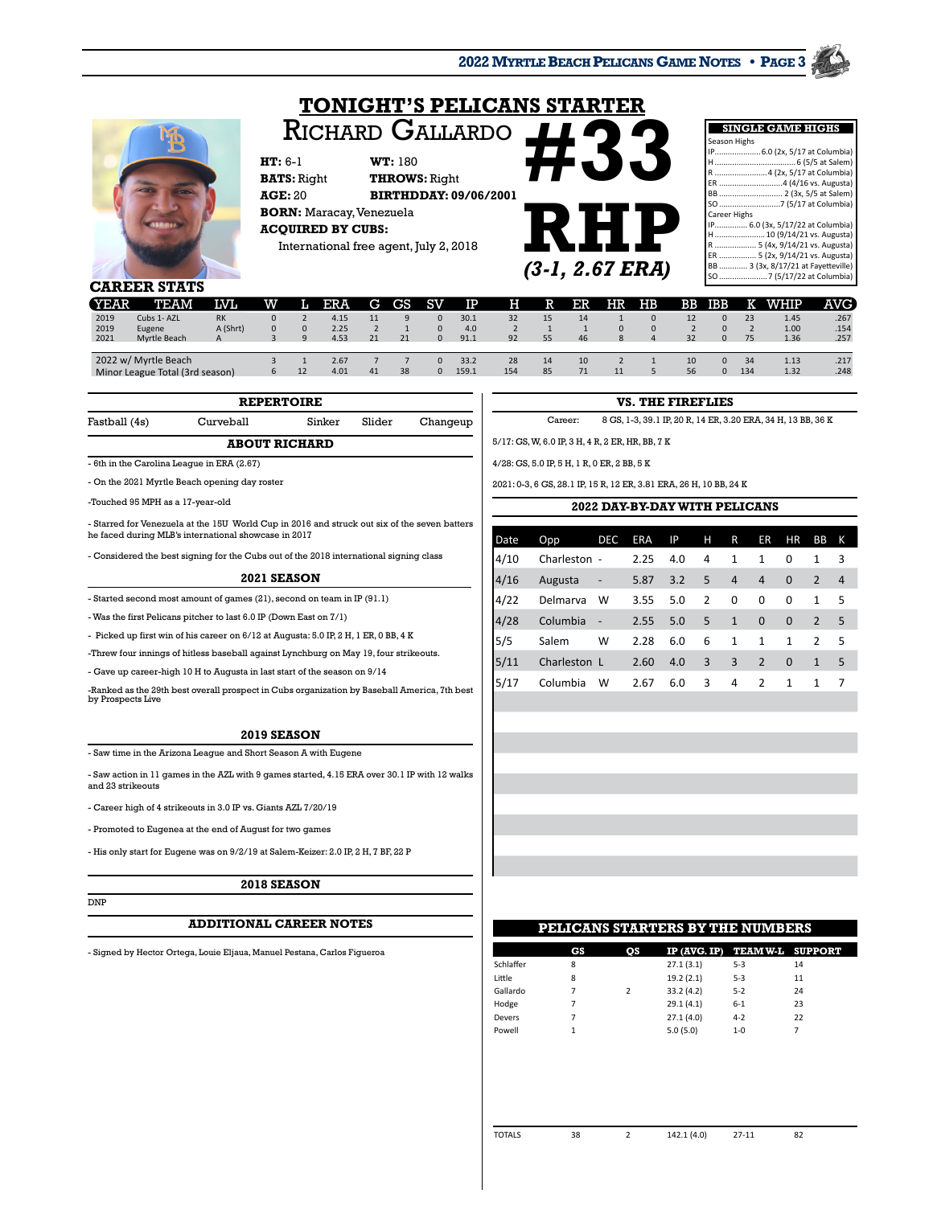**2022 MYRTLE BEACH PELICANS GAME NOTES • PAGE 3**

## **TONIGHT'S PELICANS STARTER** Richard Gallardo



**HT:** 6-1 **WT:** 180 **BATS:** Right **THROWS:** Right **AGE:** 20 **BIRTHDDAY: 09/06/2001 BORN:** Maracay, Venezuela **ACQUIRED BY CUBS:** International free agent, July 2, 2018



|              | <b>SINGLE GAME HIGHS</b>            |
|--------------|-------------------------------------|
| Season Highs |                                     |
|              | IP 6.0 (2x, 5/17 at Columbia)       |
| н.           |                                     |
|              | R  4 (2x, 5/17 at Columbia)         |
|              |                                     |
|              | BB  2 (3x, 5/5 at Salem)            |
|              |                                     |
| Career Highs |                                     |
|              | IP 6.0 (3x, 5/17/22 at Columbia)    |
|              | H 10 (9/14/21 vs. Augusta)          |
|              | R  5 (4x, 9/14/21 vs. Augusta)      |
|              | ER  5 (2x, 9/14/21 vs. Augusta)     |
|              | BB  3 (3x, 8/17/21 at Fayetteville) |
|              | SO  7 (5/17/22 at Columbia)         |

**CAREER STATS**

| <b>YEAR</b>          | <b>TEAM</b>                                             | IVI.          | w  | ш | <b>ERA</b>           | G. | <b>GS</b> | <b>SV</b> | IP                  | н         | R        | ER       | HR | $_{\rm HB}$ | ВB       | <b>IBB</b>           |           | WHIP                 | AVG                  |
|----------------------|---------------------------------------------------------|---------------|----|---|----------------------|----|-----------|-----------|---------------------|-----------|----------|----------|----|-------------|----------|----------------------|-----------|----------------------|----------------------|
| 2019<br>2019<br>2021 | Cubs 1- AZL<br>Eugene<br>Myrtle Beach                   | A (Shrt)<br>A |    |   | 4.15<br>2.25<br>4.53 | 21 | 21        |           | 30.1<br>4.0<br>91.1 | 32<br>92  | 15<br>55 | 14<br>46 | 8  |             | 32       | $\Omega$<br>$\Omega$ | 23<br>75  | 1.45<br>1.00<br>1.36 | .267<br>.154<br>.257 |
|                      | 2022 w/ Myrtle Beach<br>Minor League Total (3rd season) |               | 6. |   | 2.67<br>4.01         | 41 | 38        | $\Omega$  | 33.2<br>159.1       | 28<br>154 | 14<br>85 | 10<br>71 |    |             | 10<br>56 | $\Omega$<br>$\Omega$ | 34<br>134 | 1.13<br>1.32         | .217<br>.248         |

|               |           | <b>REPERTOIRE</b> |        |          |
|---------------|-----------|-------------------|--------|----------|
| Fastball (4s) | Curveball | Sinker            | Slider | Changeup |

### **ABOUT RICHARD**

- 6th in the Carolina League in ERA (2.67)

- On the 2021 Myrtle Beach opening day roster

-Touched 95 MPH as a 17-year-old

- Starred for Venezuela at the 15U World Cup in 2016 and struck out six of the seven batters he faced during MLB's international showcase in 2017

- Considered the best signing for the Cubs out of the 2018 international signing class

#### **2021 SEASON**

- Started second most amount of games (21), second on team in IP (91.1) - Was the first Pelicans pitcher to last 6.0 IP (Down East on 7/1)

- Picked up first win of his career on 6/12 at Augusta: 5.0 IP, 2 H, 1 ER, 0 BB, 4 K

-Threw four innings of hitless baseball against Lynchburg on May 19, four strikeouts.

- Gave up career-high 10 H to Augusta in last start of the season on 9/14

-Ranked as the 29th best overall prospect in Cubs organization by Baseball America, 7th best by Prospects Live

#### **2019 SEASON**

- Saw time in the Arizona League and Short Season A with Eugene

- Saw action in 11 games in the AZL with 9 games started, 4.15 ERA over 30.1 IP with 12 walks and 23 strikeouts

- Career high of 4 strikeouts in 3.0 IP vs. Giants AZL 7/20/19

- Promoted to Eugenea at the end of August for two games

DNP

- His only start for Eugene was on 9/2/19 at Salem-Keizer: 2.0 IP, 2 H, 7 BF, 22 P

#### **2018 SEASON**

#### **ADDITIONAL CAREER NOTES**

- Signed by Hector Ortega, Louie Eljaua, Manuel Pestana, Carlos Figueroa

### **VS. THE FIREFLIES**

Career: 8 GS, 1-3, 39.1 IP, 20 R, 14 ER, 3.20 ERA, 34 H, 13 BB, 36 K

5/17: GS, W, 6.0 IP, 3 H, 4 R, 2 ER, HR, BB, 7 K

4/28: GS, 5.0 IP, 5 H, 1 R, 0 ER, 2 BB, 5 K

2021: 0-3, 6 GS, 28.1 IP, 15 R, 12 ER, 3.81 ERA, 26 H, 10 BB, 24 K

#### **2022 DAY-BY-DAY WITH PELICANS**

| Date | Opp          | DEC                      | <b>ERA</b> | IP  | н | R              | ER           | <b>HR</b>    | ВB           | К  |
|------|--------------|--------------------------|------------|-----|---|----------------|--------------|--------------|--------------|----|
| 4/10 | Charleston - |                          | 2.25       | 4.0 | 4 | 1              | 1            | 0            | 1            | 3  |
| 4/16 | Augusta      | -                        | 5.87       | 3.2 | 5 | $\overline{4}$ | 4            | $\mathbf{0}$ | 2            | 4  |
| 4/22 | Delmarva     | W                        | 3.55       | 5.0 | 2 | 0              | 0            | 0            | 1            | -5 |
| 4/28 | Columbia     | $\overline{\phantom{0}}$ | 2.55       | 5.0 | 5 | $\mathbf{1}$   | $\mathbf{0}$ | $\mathbf{0}$ | 2            | -5 |
| 5/5  | Salem        | W                        | 2.28       | 6.0 | 6 | 1              | 1            | $\mathbf{1}$ | 2            | -5 |
| 5/11 | Charleston L |                          | 2.60       | 4.0 | 3 | 3              | 2            | $\Omega$     | $\mathbf{1}$ | 5  |
| 5/17 | Columbia     | W                        | 2.67       | 6.0 | 3 | 4              | 2            | 1            | 1            | 7  |
|      |              |                          |            |     |   |                |              |              |              |    |

|           |           |                | <b>PELICANS STARTERS BY THE NUMBERS</b> |         |    |  |
|-----------|-----------|----------------|-----------------------------------------|---------|----|--|
|           | <b>GS</b> | os             | IP (AVG. IP) TEAMW-L SUPPORT            |         |    |  |
| Schlaffer | 8         |                | 27.1(3.1)                               | $5 - 3$ | 14 |  |
| Little    | 8         |                | 19.2(2.1)                               | $5 - 3$ | 11 |  |
| Gallardo  | 7         | $\overline{2}$ | 33.2(4.2)                               | $5 - 2$ | 24 |  |
| Hodge     | 7         |                | 29.1(4.1)                               | $6 - 1$ | 23 |  |
| Devers    | 7         |                | 27.1(4.0)                               | $4 - 2$ | 22 |  |
| Powell    |           |                | 5.0(5.0)                                | $1 - 0$ |    |  |
|           |           |                |                                         |         |    |  |

TOTALS 38 2 142.1 (4.0) 27-11 82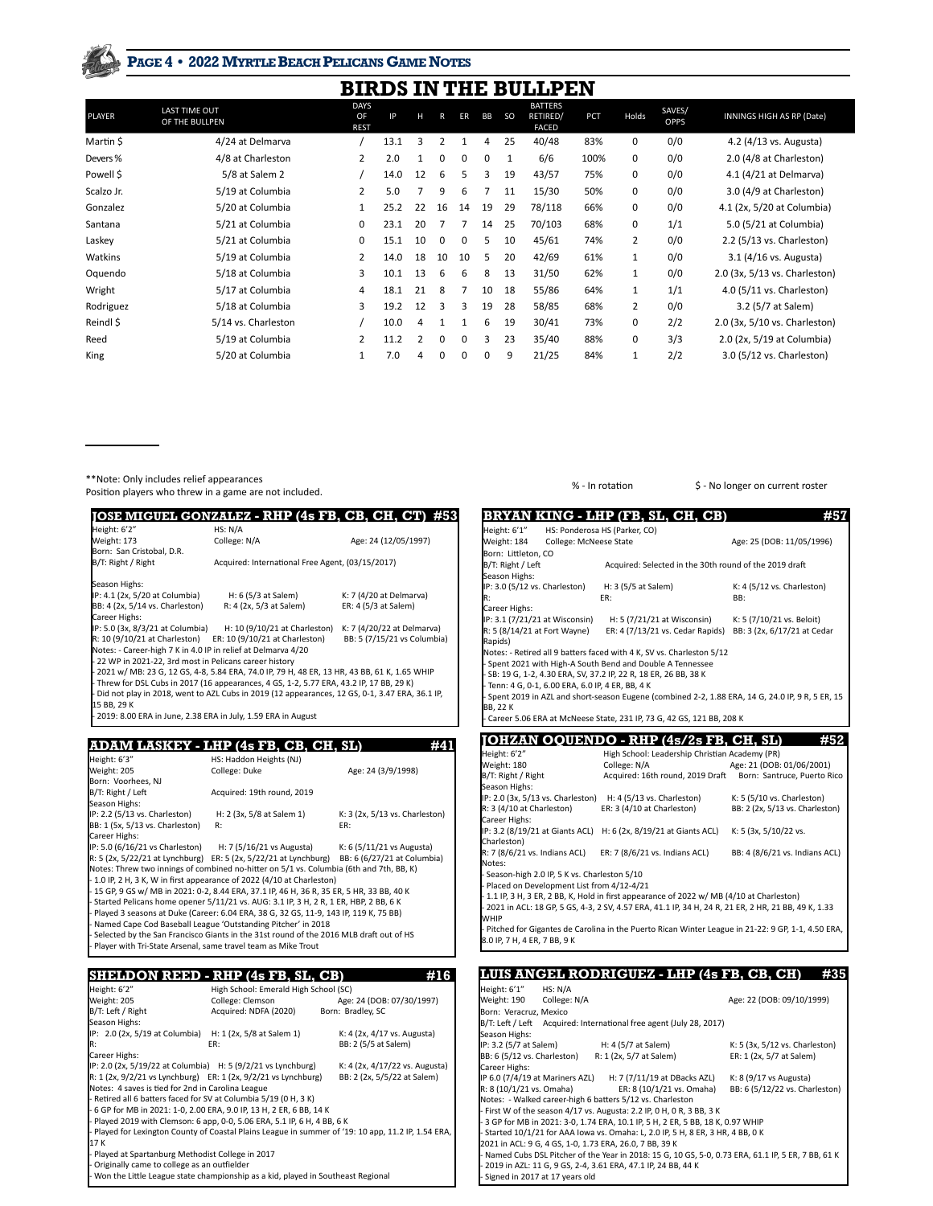### **PAGE 4 • 2022 MYRTLE BEACH PELICANS GAME NOTES**

|               |                                        |                                  |      |    |                |          |           |               | <b>BIRDS IN THE BULLPEN</b>                |      |              |                       |                               |
|---------------|----------------------------------------|----------------------------------|------|----|----------------|----------|-----------|---------------|--------------------------------------------|------|--------------|-----------------------|-------------------------------|
| <b>PLAYER</b> | <b>LAST TIME OUT</b><br>OF THE BULLPEN | <b>DAYS</b><br>OF<br><b>REST</b> | ΙP   | н  | R              | ER       | <b>BB</b> | <sub>SO</sub> | <b>BATTERS</b><br>RETIRED/<br><b>FACED</b> | PCT  | Holds        | SAVES/<br><b>OPPS</b> | INNINGS HIGH AS RP (Date)     |
| Martin \$     | 4/24 at Delmarva                       |                                  | 13.1 | 3  | $\overline{2}$ | 1        | 4         | 25            | 40/48                                      | 83%  | 0            | 0/0                   | 4.2 (4/13 vs. Augusta)        |
| Devers %      | 4/8 at Charleston                      | 2                                | 2.0  |    | 0              | 0        | 0         |               | 6/6                                        | 100% | 0            | 0/0                   | 2.0 (4/8 at Charleston)       |
| Powell \$     | 5/8 at Salem 2                         |                                  | 14.0 | 12 | 6              | 5        | 3         | 19            | 43/57                                      | 75%  | 0            | 0/0                   | 4.1 (4/21 at Delmarva)        |
| Scalzo Jr.    | 5/19 at Columbia                       | 2                                | 5.0  |    | 9              | 6        | ∍         | 11            | 15/30                                      | 50%  | 0            | 0/0                   | 3.0 (4/9 at Charleston)       |
| Gonzalez      | 5/20 at Columbia                       |                                  | 25.2 | 22 | 16             | 14       | 19        | 29            | 78/118                                     | 66%  | 0            | 0/0                   | 4.1 (2x, 5/20 at Columbia)    |
| Santana       | 5/21 at Columbia                       | 0                                | 23.1 | 20 | 7              | 7        | 14        | 25            | 70/103                                     | 68%  | 0            | 1/1                   | 5.0 (5/21 at Columbia)        |
| Laskey        | 5/21 at Columbia                       | 0                                | 15.1 | 10 | $\Omega$       | $\Omega$ | 5         | 10            | 45/61                                      | 74%  | 2            | 0/0                   | 2.2 (5/13 vs. Charleston)     |
| Watkins       | 5/19 at Columbia                       | 2                                | 14.0 | 18 | 10             | 10       | 5         | 20            | 42/69                                      | 61%  | $\mathbf{1}$ | 0/0                   | 3.1 (4/16 vs. Augusta)        |
| Oquendo       | 5/18 at Columbia                       | 3                                | 10.1 | 13 | 6              | 6        | 8         | 13            | 31/50                                      | 62%  | $\mathbf{1}$ | 0/0                   | 2.0 (3x, 5/13 vs. Charleston) |
| Wright        | 5/17 at Columbia                       | 4                                | 18.1 | 21 | 8              | 7        | 10        | 18            | 55/86                                      | 64%  | $\mathbf{1}$ | 1/1                   | 4.0 (5/11 vs. Charleston)     |
| Rodriguez     | 5/18 at Columbia                       | 3                                | 19.2 | 12 | 3              | 3        | 19        | 28            | 58/85                                      | 68%  | 2            | 0/0                   | 3.2 (5/7 at Salem)            |
| Reindl \$     | 5/14 vs. Charleston                    |                                  | 10.0 | 4  | 1              | 1        | 6         | 19            | 30/41                                      | 73%  | 0            | 2/2                   | 2.0 (3x, 5/10 vs. Charleston) |
| Reed          | 5/19 at Columbia                       | 2                                | 11.2 | 2  | O              | $\Omega$ | 3         | 23            | 35/40                                      | 88%  | 0            | 3/3                   | 2.0 (2x, 5/19 at Columbia)    |
| King          | 5/20 at Columbia                       |                                  | 7.0  | 4  | 0              | 0        | 0         | 9             | 21/25                                      | 84%  | $\mathbf{1}$ | 2/2                   | 3.0 (5/12 vs. Charleston)     |

ı

I

\*\*Note: Only includes relief appearances

\*\*Note: Only includes relief appearances<br>Position players who threw in a game are not included. Note that the set of the set of the set of the set of the set of the set of the set of the set of the set of the set of the Po

|                                                                | <b>JOSE MIGUEL GONZALEZ - RHP (4s FB, CB, CH, CT)</b>                                          |                             |
|----------------------------------------------------------------|------------------------------------------------------------------------------------------------|-----------------------------|
| Height: 6'2"                                                   | HS: N/A                                                                                        |                             |
| Weight: 173                                                    | College: N/A                                                                                   | Age: 24 (12/05/1997)        |
| Born: San Cristobal, D.R.                                      |                                                                                                |                             |
| B/T: Right / Right                                             | Acquired: International Free Agent, (03/15/2017)                                               |                             |
| Season Highs:                                                  |                                                                                                |                             |
| IP: 4.1 (2x, 5/20 at Columbia)                                 | H: 6 (5/3 at Salem)                                                                            | K: 7 (4/20 at Delmarva)     |
| BB: 4 (2x, 5/14 vs. Charleston)                                | R: 4 (2x, 5/3 at Salem)                                                                        | ER: 4 (5/3 at Salem)        |
| Career Highs:                                                  |                                                                                                |                             |
| IP: 5.0 (3x, 8/3/21 at Columbia)                               | H: 10 (9/10/21 at Charleston) K: 7 (4/20/22 at Delmarva)                                       |                             |
| $R: 10 (9/10/21$ at Charleston) ER: 10 (9/10/21 at Charleston) |                                                                                                | BB: 5 (7/15/21 vs Columbia) |
| Notes: - Career-high 7 K in 4.0 IP in relief at Delmarva 4/20  |                                                                                                |                             |
| - 22 WP in 2021-22, 3rd most in Pelicans career history        |                                                                                                |                             |
|                                                                | - 2021 w/ MB: 23 G, 12 GS, 4-8, 5.84 ERA, 74.0 IP, 79 H, 48 ER, 13 HR, 43 BB, 61 K, 1.65 WHIP  |                             |
|                                                                | - Threw for DSL Cubs in 2017 (16 appearances, 4 GS, 1-2, 5.77 ERA, 43.2 IP, 17 BB, 29 K)       |                             |
|                                                                | Did not play in 2018, went to AZL Cubs in 2019 (12 appearances, 12 GS, 0-1, 3.47 ERA, 36.1 IP, |                             |
| 15 BB, 29 K                                                    |                                                                                                |                             |
| 2019: 8.00 ERA in June, 2.38 ERA in July, 1.59 ERA in August   |                                                                                                |                             |

### **ADAM LASKEY - LHP (4s FB, CB, CH, SL)** #41

| Height: 6'3"                                                    | HS: Haddon Heights (NJ)                                                                         |                                |
|-----------------------------------------------------------------|-------------------------------------------------------------------------------------------------|--------------------------------|
| Weight: 205                                                     | College: Duke                                                                                   | Age: 24 (3/9/1998)             |
| Born: Voorhees, NJ                                              |                                                                                                 |                                |
| B/T: Right / Left                                               | Acquired: 19th round, 2019                                                                      |                                |
| Season Highs:                                                   |                                                                                                 |                                |
| IP: 2.2 (5/13 vs. Charleston)                                   | H: 2 (3x, 5/8 at Salem 1)                                                                       | K: 3 (2x, 5/13 vs. Charleston) |
| BB: 1 (5x, 5/13 vs. Charleston)                                 | R:                                                                                              | ER:                            |
| Career Highs:                                                   |                                                                                                 |                                |
|                                                                 | $IP: 5.0 (6/16/21 \text{ vs } Charleston)$ H: 7 (5/16/21 vs Augusta) K: 6 (5/11/21 vs Augusta)  |                                |
|                                                                 | $R: 5(2x, 5/22/21$ at Lynchburg) ER: $5(2x, 5/22/21$ at Lynchburg) BB: $6(6/27/21$ at Columbia) |                                |
|                                                                 | Notes: Threw two innings of combined no-hitter on 5/1 vs. Columbia (6th and 7th, BB, K)         |                                |
|                                                                 | $-$ 1.0 IP, 2 H, 3 K, W in first appearance of 2022 (4/10 at Charleston)                        |                                |
|                                                                 | 15 GP, 9 GS w/ MB in 2021: 0-2, 8.44 ERA, 37.1 IP, 46 H, 36 R, 35 ER, 5 HR, 33 BB, 40 K         |                                |
|                                                                 | - Started Pelicans home opener 5/11/21 vs. AUG: 3.1 IP, 3 H, 2 R, 1 ER, HBP, 2 BB, 6 K          |                                |
|                                                                 | Played 3 seasons at Duke (Career: 6.04 ERA, 38 G, 32 GS, 11-9, 143 IP, 119 K, 75 BB)            |                                |
|                                                                 | Named Cape Cod Baseball League 'Outstanding Pitcher' in 2018                                    |                                |
|                                                                 | - Selected by the San Francisco Giants in the 31st round of the 2016 MLB draft out of HS        |                                |
| - Player with Tri-State Arsenal, same travel team as Mike Trout |                                                                                                 |                                |
|                                                                 |                                                                                                 |                                |

## **SHELDON REED - RHP (4s FB, SL, CB)** #16<br>
Height: 6'2" High School: Emerald High School (SC)<br>
Weight: 205 College: Clemson Age: 24 (DOB: 07/30/1997) Height: 6'2" High School: Emerald High School (SC) Weight: 205 College: Clemson Age: 24 (DOB: 07/30/1997)

| 11.21                                                                              | CONCRET CICINDON      | $F_{15}C: 271000: 01130112211$                                                                      |
|------------------------------------------------------------------------------------|-----------------------|-----------------------------------------------------------------------------------------------------|
| B/T: Left / Right                                                                  | Acquired: NDFA (2020) | Born: Bradley, SC                                                                                   |
| Season Highs:                                                                      |                       |                                                                                                     |
| IP: 2.0 (2x, 5/19 at Columbia) H: 1 (2x, 5/8 at Salem 1)                           |                       | K: 4 (2x, 4/17 vs. Augusta)                                                                         |
| IR:                                                                                | ER:                   | BB: 2 (5/5 at Salem)                                                                                |
| Career Highs:                                                                      |                       |                                                                                                     |
| IP: 2.0 (2x, 5/19/22 at Columbia) H: 5 (9/2/21 vs Lynchburg)                       |                       | K: 4 (2x, 4/17/22 vs. Augusta)                                                                      |
| $R: 1 (2x, 9/2/21 \text{ vs Lynchburg})$ $ER: 1 (2x, 9/2/21 \text{ vs Lynchburg})$ |                       | BB: 2 (2x, 5/5/22 at Salem)                                                                         |
| Notes: 4 saves is tied for 2nd in Carolina League                                  |                       |                                                                                                     |
| - Retired all 6 batters faced for SV at Columbia 5/19 (0 H, 3 K)                   |                       |                                                                                                     |
| - 6 GP for MB in 2021: 1-0, 2.00 ERA, 9.0 IP, 13 H, 2 ER, 6 BB, 14 K               |                       |                                                                                                     |
| - Played 2019 with Clemson: 6 app, 0-0, 5.06 ERA, 5.1 IP, 6 H, 4 BB, 6 K           |                       |                                                                                                     |
|                                                                                    |                       | - Played for Lexington County of Coastal Plains League in summer of '19: 10 app, 11.2 IP, 1.54 ERA, |
| 17K                                                                                |                       |                                                                                                     |
| - Played at Spartanburg Methodist College in 2017                                  |                       |                                                                                                     |
| - Originally came to college as an outfielder                                      |                       |                                                                                                     |
| - Won the Little League state championship as a kid, played in Southeast Regional  |                       |                                                                                                     |

|                                                                  | BRYAN KING - LHP (FB, SL, CH, CB)                                                                    | #57                             |
|------------------------------------------------------------------|------------------------------------------------------------------------------------------------------|---------------------------------|
| Height: 6'1"                                                     | HS: Ponderosa HS (Parker, CO)                                                                        |                                 |
| Weight: 184<br>College: McNeese State                            |                                                                                                      | Age: 25 (DOB: 11/05/1996)       |
| Born: Littleton, CO                                              |                                                                                                      |                                 |
| B/T: Right / Left                                                | Acquired: Selected in the 30th round of the 2019 draft                                               |                                 |
| Season Highs:                                                    |                                                                                                      |                                 |
| IP: 3.0 (5/12 vs. Charleston)                                    | H: 3 (5/5 at Salem)                                                                                  | K: 4 (5/12 vs. Charleston)      |
| R:                                                               | ER:                                                                                                  | BB:                             |
| Career Highs:                                                    |                                                                                                      |                                 |
| IP: 3.1 (7/21/21 at Wisconsin)                                   | H: 5 (7/21/21 at Wisconsin)                                                                          | K: 5 (7/10/21 vs. Beloit)       |
| R: 5 (8/14/21 at Fort Wayne)<br>Rapids)                          | ER: 4 (7/13/21 vs. Cedar Rapids)                                                                     | BB: 3 (2x, 6/17/21 at Cedar     |
|                                                                  | Notes: - Retired all 9 batters faced with 4 K, SV vs. Charleston 5/12                                |                                 |
|                                                                  | - Spent 2021 with High-A South Bend and Double A Tennessee                                           |                                 |
| - SB: 19 G, 1-2, 4.30 ERA, SV, 37.2 IP, 22 R, 18 ER, 26 BB, 38 K |                                                                                                      |                                 |
| - Tenn: 4 G, 0-1, 6.00 ERA, 6.0 IP, 4 ER, BB, 4 K                |                                                                                                      |                                 |
|                                                                  | - Spent 2019 in AZL and short-season Eugene (combined 2-2, 1.88 ERA, 14 G, 24.0 IP, 9 R, 5 ER, 15    |                                 |
| BB, 22 K                                                         |                                                                                                      |                                 |
|                                                                  | - Career 5.06 ERA at McNeese State, 231 IP, 73 G, 42 GS, 121 BB, 208 K                               |                                 |
|                                                                  |                                                                                                      |                                 |
|                                                                  | JOHZAN OQUENDO - RHP (4s/2s FB, CH, SL)                                                              | #52                             |
|                                                                  |                                                                                                      |                                 |
| Height: 6'2"                                                     | High School: Leadership Christian Academy (PR)                                                       |                                 |
| Weight: 180                                                      | College: N/A                                                                                         | Age: 21 (DOB: 01/06/2001)       |
| B/T: Right / Right                                               | Acquired: 16th round, 2019 Draft                                                                     | Born: Santruce, Puerto Rico     |
| Season Highs:                                                    |                                                                                                      |                                 |
| IP: 2.0 (3x, 5/13 vs. Charleston)                                | H: 4 (5/13 vs. Charleston)                                                                           | K: 5 (5/10 vs. Charleston)      |
| R: 3 (4/10 at Charleston)                                        | ER: 3 (4/10 at Charleston)                                                                           | BB: 2 (2x, 5/13 vs. Charleston) |
| Career Highs:                                                    |                                                                                                      |                                 |
| Charleston)                                                      | IP: 3.2 (8/19/21 at Giants ACL) H: 6 (2x, 8/19/21 at Giants ACL)                                     | K: 5 (3x, 5/10/22 vs.           |
| R: 7 (8/6/21 vs. Indians ACL)                                    | ER: 7 (8/6/21 vs. Indians ACL)                                                                       |                                 |
| Notes:                                                           |                                                                                                      | BB: 4 (8/6/21 vs. Indians ACL)  |
| - Season-high 2.0 IP, 5 K vs. Charleston 5/10                    |                                                                                                      |                                 |
| - Placed on Development List from 4/12-4/21                      |                                                                                                      |                                 |
|                                                                  | - 1.1 IP, 3 H, 3 ER, 2 BB, K, Hold in first appearance of 2022 w/ MB (4/10 at Charleston)            |                                 |
|                                                                  | - 2021 in ACL: 18 GP, 5 GS, 4-3, 2 SV, 4.57 ERA, 41.1 IP, 34 H, 24 R, 21 ER, 2 HR, 21 BB, 49 K, 1.33 |                                 |
|                                                                  |                                                                                                      |                                 |
|                                                                  | - Pitched for Gigantes de Carolina in the Puerto Rican Winter League in 21-22: 9 GP, 1-1, 4.50 ERA,  |                                 |
| WHIP<br>8.0 IP, 7 H, 4 ER, 7 BB, 9 K                             |                                                                                                      |                                 |

### **LUIS ANGEL RODRIGUEZ - LHP (4s FB, CB, CH) #35**

| Height: 6'1"                     | HS: N/A |                                                                                                     |                                |  |  |  |  |  |  |
|----------------------------------|---------|-----------------------------------------------------------------------------------------------------|--------------------------------|--|--|--|--|--|--|
| Weight: 190 College: N/A         |         |                                                                                                     | Age: 22 (DOB: 09/10/1999)      |  |  |  |  |  |  |
| Born: Veracruz, Mexico           |         |                                                                                                     |                                |  |  |  |  |  |  |
|                                  |         | B/T: Left / Left Acquired: International free agent (July 28, 2017)                                 |                                |  |  |  |  |  |  |
| Season Highs:                    |         |                                                                                                     |                                |  |  |  |  |  |  |
|                                  |         | IP: 3.2 (5/7 at Salem) H: 4 (5/7 at Salem)                                                          | K: 5 (3x, 5/12 vs. Charleston) |  |  |  |  |  |  |
|                                  |         | BB: 6 (5/12 vs. Charleston) R: 1 (2x, 5/7 at Salem)                                                 | ER: 1 (2x, 5/7 at Salem)       |  |  |  |  |  |  |
| Career Highs:                    |         |                                                                                                     |                                |  |  |  |  |  |  |
|                                  |         | IP 6.0 (7/4/19 at Mariners AZL) H: 7 (7/11/19 at DBacks AZL)                                        | K: 8 (9/17 vs Augusta)         |  |  |  |  |  |  |
|                                  |         | R: 8 (10/1/21 vs. Omaha) ER: 8 (10/1/21 vs. Omaha)                                                  | BB: 6 (5/12/22 vs. Charleston) |  |  |  |  |  |  |
|                                  |         | Notes: - Walked career-high 6 batters 5/12 vs. Charleston                                           |                                |  |  |  |  |  |  |
|                                  |         | First W of the season 4/17 vs. Augusta: 2.2 IP, 0 H, 0 R, 3 BB, 3 K                                 |                                |  |  |  |  |  |  |
|                                  |         | - 3 GP for MB in 2021: 3-0, 1.74 ERA, 10.1 IP, 5 H, 2 ER, 5 BB, 18 K, 0.97 WHIP                     |                                |  |  |  |  |  |  |
|                                  |         | - Started 10/1/21 for AAA lowa vs. Omaha: L, 2.0 IP, 5 H, 8 ER, 3 HR, 4 BB, 0 K                     |                                |  |  |  |  |  |  |
|                                  |         | 2021 in ACL: 9 G, 4 GS, 1-0, 1.73 ERA, 26.0, 7 BB, 39 K                                             |                                |  |  |  |  |  |  |
|                                  |         | - Named Cubs DSL Pitcher of the Year in 2018: 15 G, 10 GS, 5-0, 0.73 ERA, 61.1 IP, 5 ER, 7 BB, 61 K |                                |  |  |  |  |  |  |
|                                  |         | - 2019 in AZL: 11 G, 9 GS, 2-4, 3.61 ERA, 47.1 IP, 24 BB, 44 K                                      |                                |  |  |  |  |  |  |
| - Signed in 2017 at 17 years old |         |                                                                                                     |                                |  |  |  |  |  |  |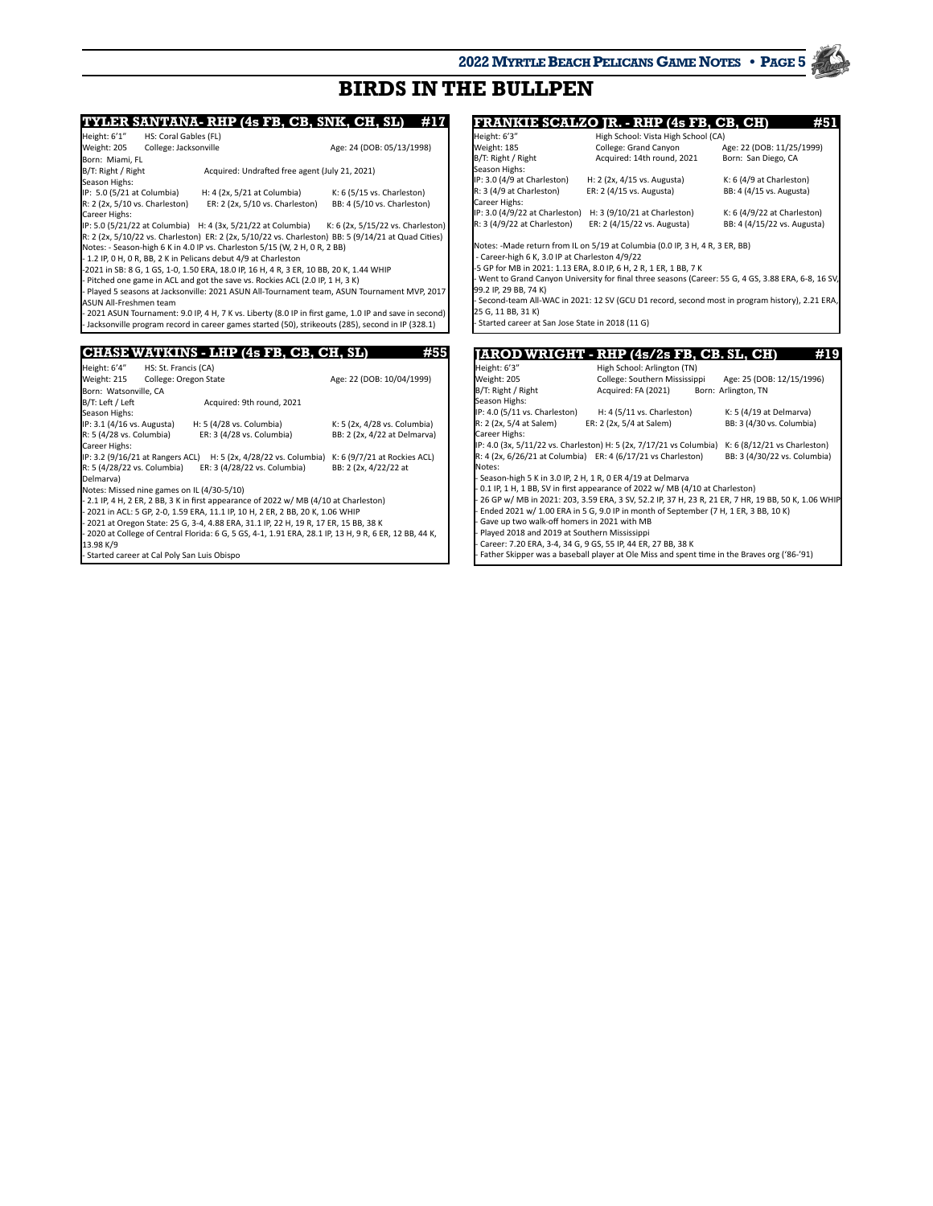## **BIRDS IN THE BULLPEN**

**TYLER SANTANA- RHP (4s FB, CB, SNK, CH, SL)** #17<br>Height: 6'1" HS: Coral Gables (FL) Height: 6'1" HS: Coral Gables (FL)<br>Weight: 205 College: Jacksonville College: Jacksonville Age: 24 (DOB: 05/13/1998) Born: Miami, FL B/T: Right / Right Acquired: Undrafted free agent (July 21, 2021) Season Highs:<br>IP: 5.0 (5/21 at Columbia) IP: 5.0 (5/21 at Columbia) H: 4 (2x, 5/21 at Columbia) K: 6 (5/15 vs. Charleston)<br>R: 2 (2x, 5/10 vs. Charleston) ER: 2 (2x, 5/10 vs. Charleston) BB: 4 (5/10 vs. Charleston R: 2 (2x, 5/10 vs. Charleston) ER: 2 (2x, 5/10 vs. Charleston) BB: 4 (5/10 vs. Charleston) Career Highs: IP: 5.0 (5/21/22 at Columbia) H: 4 (3x, 5/21/22 at Columbia) K: 6 (2x, 5/15/22 vs. Charleston) R: 2 (2x, 5/10/22 vs. Charleston) ER: 2 (2x, 5/10/22 vs. Charleston) BB: 5 (9/14/21 at Quad Cities) Notes: - Season-high 6 K in 4.0 IP vs. Charleston 5/15 (W, 2 H, 0 R, 2 BB) - 1.2 IP, 0 H, 0 R, BB, 2 K in Pelicans debut 4/9 at Charleston -2021 in SB: 8 G, 1 GS, 1-0, 1.50 ERA, 18.0 IP, 16 H, 4 R, 3 ER, 10 BB, 20 K, 1.44 WHIP Pitched one game in ACL and got the save vs. Rockies ACL (2.0 IP, 1 H, 3 K) - Played 5 seasons at Jacksonville: 2021 ASUN All-Tournament team, ASUN Tournament MVP, 2017 ASUN All-Freshmen team 2021 ASUN Tournament: 9.0 IP, 4 H, 7 K vs. Liberty (8.0 IP in first game, 1.0 IP and save in second - Jacksonville program record in career games started (50), strikeouts (285), second in IP (328.1) **CHASE WATKINS - LHP (4s FB, CB, CH, SL) #55** Height: 6'4" HS: St. Francis (CA) Weight: 215 College: Oregon State Age: 22 (DOB: 10/04/1999) Born: Watsonville, CA<br>B/T: Left / Left Acquired: 9th round, 2021 Season Highs: IP: 3.1 (4/16 vs. Augusta) H: 5 (4/28 vs. Columbia) K: 5 (2x, 4/28 vs. Columbia) R: 5 (4/28 vs. Columbia) ER: 3 (4/28 vs. Columbia) BB: 2 (2x, 4/22 at Delmarva) Career Highs: IP: 3.2 (9/16/21 at Rangers ACL) H: 5 (2x, 4/28/22 vs. Columbia) K: 6 (9/7/21 at Rockies ACL) R: 5 (4/28/22 vs. Columbia) ER: 3 (4/28/22 vs. Columbia) BB: 2 (2x, 4/22/22 at Delmarva) Notes: Missed nine games on IL (4/30-5/10) - 2.1 IP, 4 H, 2 ER, 2 BB, 3 K in first appearance of 2022 w/ MB (4/10 at Charleston) - 2021 in ACL: 5 GP, 2-0, 1.59 ERA, 11.1 IP, 10 H, 2 ER, 2 BB, 20 K, 1.06 WHIP 2021 at Oregon State: 25 G, 3-4, 4.88 ERA, 31.1 IP, 22 H, 19 R, 17 ER, 15 BB, 38 K - 2020 at College of Central Florida: 6 G, 5 GS, 4-1, 1.91 ERA, 28.1 IP, 13 H, 9 R, 6 ER, 12 BB, 44 K, 13.98 K/9

Started career at Cal Poly San Luis Obispo

**JAROD WRIGHT PHP (4s/2s FB, CB, SL, CH)** #19 **FRANKIE SCALZO JR. - RHP (4s FB, CB, CH)** #51<br>Height: 6'3" High School: Vista High School (CA) Height: 6'3" High School: Vista High School (CA) Weight: 185 **College: Grand Canyon** Age: 22 (DOB: 11/25, 11/25, 2010)<br>B/T: Right Age: 22 (DOB: 11/25, 2010) Acquired: 14th round: 2021 Born: San Diego: CA Bcquired: 14th round, 2021 Season Highs:<br>IP: 3.0 (4/9 at Charleston) IP: 3.0 (4/9 at Charleston) H: 2 (2x, 4/15 vs. Augusta) K: 6 (4/9 at Charleston)<br>R: 3 (4/9 at Charleston) ER: 2 (4/15 vs. Augusta) BB: 4 (4/15 vs. Augusta) ER: 2 (4/15 vs. Augusta) Career Highs: IP: 3.0 (4/9/22 at Charleston) H: 3 (9/10/21 at Charleston) K: 6 (4/9/22 at Charleston)<br>R: 3 (4/9/22 at Charleston) ER: 2 (4/15/22 vs. Augusta) BB: 4 (4/15/22 vs. Augusta) ER: 2 (4/15/22 vs. Augusta) Notes: -Made return from IL on 5/19 at Columbia (0.0 IP, 3 H, 4 R, 3 ER, BB) - Career-high 6 K, 3.0 IP at Charleston 4/9/22 -5 GP for MB in 2021: 1.13 ERA, 8.0 IP, 6 H, 2 R, 1 ER, 1 BB, 7 K - Went to Grand Canyon University for final three seasons (Career: 55 G, 4 GS, 3.88 ERA, 6-8, 16 SV 99.2 IP, 29 BB, 74 K) Second-team All-WAC in 2021: 12 SV (GCU D1 record, second most in program history), 2.21 ERA 25 G, 11 BB, 31 K) - Started career at San Jose State in 2018 (11 G)

| IARUD WRIUH I                                  |                                                                                               | 15/45 ГD, ОD. 3Ц, ОД<br>.                                                                          |
|------------------------------------------------|-----------------------------------------------------------------------------------------------|----------------------------------------------------------------------------------------------------|
| Height: 6'3"                                   | High School: Arlington (TN)                                                                   |                                                                                                    |
| Weight: 205                                    | College: Southern Mississippi                                                                 | Age: 25 (DOB: 12/15/1996)                                                                          |
| B/T: Right / Right                             | Acquired: FA (2021)                                                                           | Born: Arlington, TN                                                                                |
| Season Highs:                                  |                                                                                               |                                                                                                    |
| IP: 4.0 (5/11 vs. Charleston)                  | H: 4 (5/11 vs. Charleston)                                                                    | K: 5 (4/19 at Delmarva)                                                                            |
| R: 2 (2x, 5/4 at Salem)                        | ER: 2 (2x, 5/4 at Salem)                                                                      | BB: 3 (4/30 vs. Columbia)                                                                          |
| Career Highs:                                  |                                                                                               |                                                                                                    |
|                                                | IP: 4.0 (3x, 5/11/22 vs. Charleston) H: 5 (2x, 7/17/21 vs Columbia)                           | K: 6 (8/12/21 vs Charleston)                                                                       |
|                                                | R: 4 (2x, 6/26/21 at Columbia) ER: 4 (6/17/21 vs Charleston)                                  | BB: 3 (4/30/22 vs. Columbia)                                                                       |
| Notes:                                         |                                                                                               |                                                                                                    |
|                                                | - Season-high 5 K in 3.0 IP, 2 H, 1 R, 0 ER 4/19 at Delmarva                                  |                                                                                                    |
|                                                | - 0.1 IP, 1 H, 1 BB, SV in first appearance of 2022 w/ MB (4/10 at Charleston)                |                                                                                                    |
|                                                |                                                                                               | 26 GP w/ MB in 2021: 203, 3.59 ERA, 3 SV, 52.2 IP, 37 H, 23 R, 21 ER, 7 HR, 19 BB, 50 K, 1.06 WHIP |
|                                                | Ended 2021 w/ 1.00 ERA in 5 G, 9.0 IP in month of September (7 H, 1 ER, 3 BB, 10 K)           |                                                                                                    |
| Gave up two walk-off homers in 2021 with MB    |                                                                                               |                                                                                                    |
| - Played 2018 and 2019 at Southern Mississippi |                                                                                               |                                                                                                    |
|                                                | - Career: 7.20 ERA, 3-4, 34 G, 9 GS, 55 IP, 44 ER, 27 BB, 38 K                                |                                                                                                    |
|                                                | - Father Skipper was a baseball player at Ole Miss and spent time in the Braves org ('86-'91) |                                                                                                    |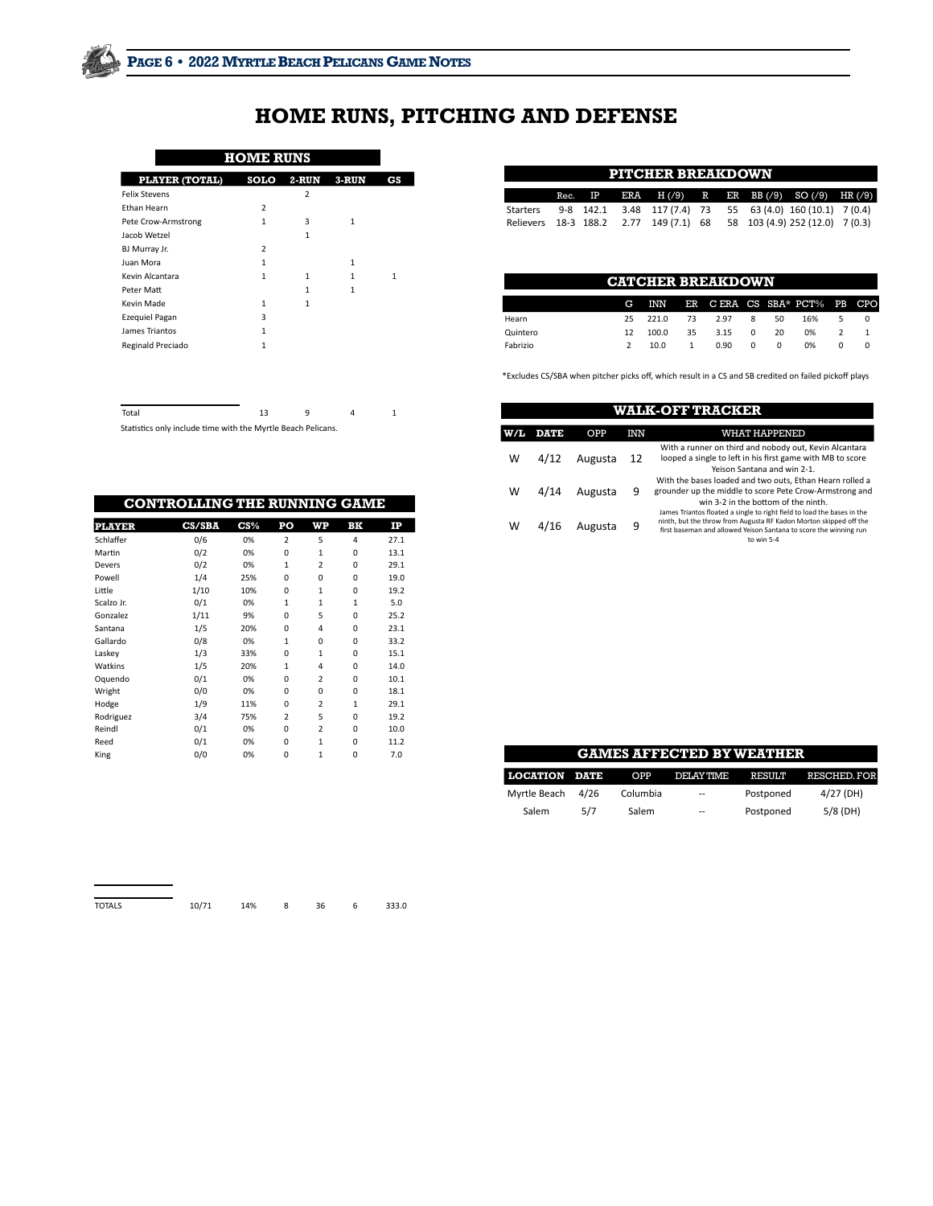## **HOME RUNS, PITCHING AND DEFENSE**

## **HOME RUNS**

| PLAYER (TOTAL)       | <b>SOLO</b>             | 2-RUN        | 3-RUN        | CS |
|----------------------|-------------------------|--------------|--------------|----|
| <b>Felix Stevens</b> |                         | 2            |              |    |
| <b>Ethan Hearn</b>   | $\overline{2}$          |              |              |    |
| Pete Crow-Armstrong  | 1                       | 3            | $\mathbf{1}$ |    |
| Jacob Wetzel         |                         | $\mathbf{1}$ |              |    |
| BJ Murray Jr.        | $\overline{\mathbf{z}}$ |              |              |    |
| Juan Mora            | 1                       |              | $\mathbf{1}$ |    |
| Kevin Alcantara      | 1                       | 1            | 1            | 1  |
| Peter Matt           |                         | $\mathbf{1}$ | $\mathbf{1}$ |    |
| Kevin Made           | 1                       | 1            |              |    |
| Ezequiel Pagan       | 3                       |              |              |    |
| James Triantos       | $\mathbf{1}$            |              |              |    |
| Reginald Preciado    | 1                       |              |              |    |
|                      |                         |              |              |    |
|                      |                         |              |              |    |

Total 13 9 4 1

Statistics only include time with the Myrtle Beach Pelicans.

| <b>PITCHER BREAKDOWN</b> |  |  |  |                                        |  |  |  |                                                                     |  |
|--------------------------|--|--|--|----------------------------------------|--|--|--|---------------------------------------------------------------------|--|
|                          |  |  |  |                                        |  |  |  | Rec. IP ERA $H(79)$ R ER BB $(79)$ SO $(79)$ HR $(79)$              |  |
|                          |  |  |  |                                        |  |  |  | Starters 9-8 142.1 3.48 117 (7.4) 73 55 63 (4.0) 160 (10.1) 7 (0.4) |  |
|                          |  |  |  | Relievers 18-3 188.2 2.77 149 (7.1) 68 |  |  |  | 58 103 (4.9) 252 (12.0) 7 (0.3)                                     |  |

| <b>CATCHER BREAKDOWN</b> |    |       |    |                                 |          |    |     |  |  |
|--------------------------|----|-------|----|---------------------------------|----------|----|-----|--|--|
|                          | G  |       |    | INN ER CERA CS SBA* PCT% PB CPO |          |    |     |  |  |
| Hearn                    | 25 | 221.0 | 73 | 297                             | 8        | 50 | 16% |  |  |
| Quintero                 | 12 | 100.0 | 35 | 3.15                            | $\Omega$ | 20 | 0%  |  |  |
| Fabrizio                 |    | 10.0  |    | 0.90                            | 0        | 0  | 0%  |  |  |

\*Excludes CS/SBA when pitcher picks off, which result in a CS and SB credited on failed pickoff plays

|     | WALK-OFF TRACKER |         |     |                                                                                                                                                                                                                                 |  |  |  |  |  |  |
|-----|------------------|---------|-----|---------------------------------------------------------------------------------------------------------------------------------------------------------------------------------------------------------------------------------|--|--|--|--|--|--|
| W/L | <b>DATE</b>      | OPP     | INN | WHAT HAPPENED                                                                                                                                                                                                                   |  |  |  |  |  |  |
| w   | 4/12             | Augusta | 12  | With a runner on third and nobody out, Kevin Alcantara<br>looped a single to left in his first game with MB to score<br>Yeison Santana and win 2-1.                                                                             |  |  |  |  |  |  |
| w   | 4/14             | Augusta | 9   | With the bases loaded and two outs, Ethan Hearn rolled a<br>grounder up the middle to score Pete Crow-Armstrong and<br>win 3-2 in the bottom of the ninth.                                                                      |  |  |  |  |  |  |
| w   | 4/16             | Augusta | q   | James Triantos floated a single to right field to load the bases in the<br>ninth, but the throw from Augusta RF Kadon Morton skipped off the<br>first baseman and allowed Yeison Santana to score the winning run<br>to win 5-4 |  |  |  |  |  |  |

|               | <b>CONTROLLING THE RUNNING GAME</b> |                 |                         |                         |              |      |
|---------------|-------------------------------------|-----------------|-------------------------|-------------------------|--------------|------|
| <b>PLAYER</b> | <b>CS/SBA</b>                       | $\mathbf{CS}$ % | PO                      | WP                      | BK           | IP   |
| Schlaffer     | 0/6                                 | 0%              | $\overline{\mathbf{z}}$ | 5                       | 4            | 27.1 |
| Martin        | 0/2                                 | 0%              | $\Omega$                | $\mathbf{1}$            | $\Omega$     | 13.1 |
| Devers        | 0/2                                 | 0%              | $\mathbf{1}$            | $\overline{2}$          | $\Omega$     | 29.1 |
| Powell        | 1/4                                 | 25%             | $\Omega$                | $\Omega$                | $\Omega$     | 19.0 |
| Little        | 1/10                                | 10%             | $\Omega$                | $\mathbf{1}$            | $\Omega$     | 19.2 |
| Scalzo Jr.    | 0/1                                 | 0%              | $\mathbf{1}$            | $\mathbf{1}$            | $\mathbf{1}$ | 5.0  |
| Gonzalez      | 1/11                                | 9%              | $\Omega$                | 5                       | $\Omega$     | 25.2 |
| Santana       | 1/5                                 | 20%             | $\Omega$                | 4                       | $\Omega$     | 23.1 |
| Gallardo      | 0/8                                 | 0%              | $\mathbf{1}$            | $\Omega$                | $\Omega$     | 33.2 |
| Laskey        | 1/3                                 | 33%             | $\Omega$                | $\mathbf{1}$            | $\Omega$     | 15.1 |
| Watkins       | 1/5                                 | 20%             | $\mathbf{1}$            | 4                       | $\Omega$     | 14.0 |
| Oquendo       | 0/1                                 | 0%              | $\Omega$                | $\overline{\mathbf{z}}$ | $\Omega$     | 10.1 |
| Wright        | 0/0                                 | 0%              | $\Omega$                | $\Omega$                | $\Omega$     | 18.1 |
| Hodge         | 1/9                                 | 11%             | $\Omega$                | $\overline{\mathbf{z}}$ | $\mathbf{1}$ | 29.1 |
| Rodriguez     | 3/4                                 | 75%             | $\overline{a}$          | 5                       | $\Omega$     | 19.2 |
| Reindl        | 0/1                                 | 0%              | $\Omega$                | $\overline{2}$          | $\Omega$     | 10.0 |
| Reed          | 0/1                                 | 0%              | $\Omega$                | $\mathbf{1}$            | 0            | 11.2 |
| King          | 0/0                                 | 0%              | $\mathbf 0$             | $\mathbf{1}$            | 0            | 7.0  |

|                      |      |          | <b>GAMES AFFECTED BY WEATHER</b> |               |             |
|----------------------|------|----------|----------------------------------|---------------|-------------|
| <b>LOCATION DATE</b> |      | OPP      | DELAY TIME                       | <b>RESULT</b> | RESCHED FOR |
| Myrtle Beach         | 4/26 | Columbia | $-$                              | Postponed     | $4/27$ (DH) |
| Salem                | 5/7  | Salem    | $- -$                            | Postponed     | $5/8$ (DH)  |

| <b>TOTALS</b> | 10/71 | 14% | 36 | 6. | 333.0 |
|---------------|-------|-----|----|----|-------|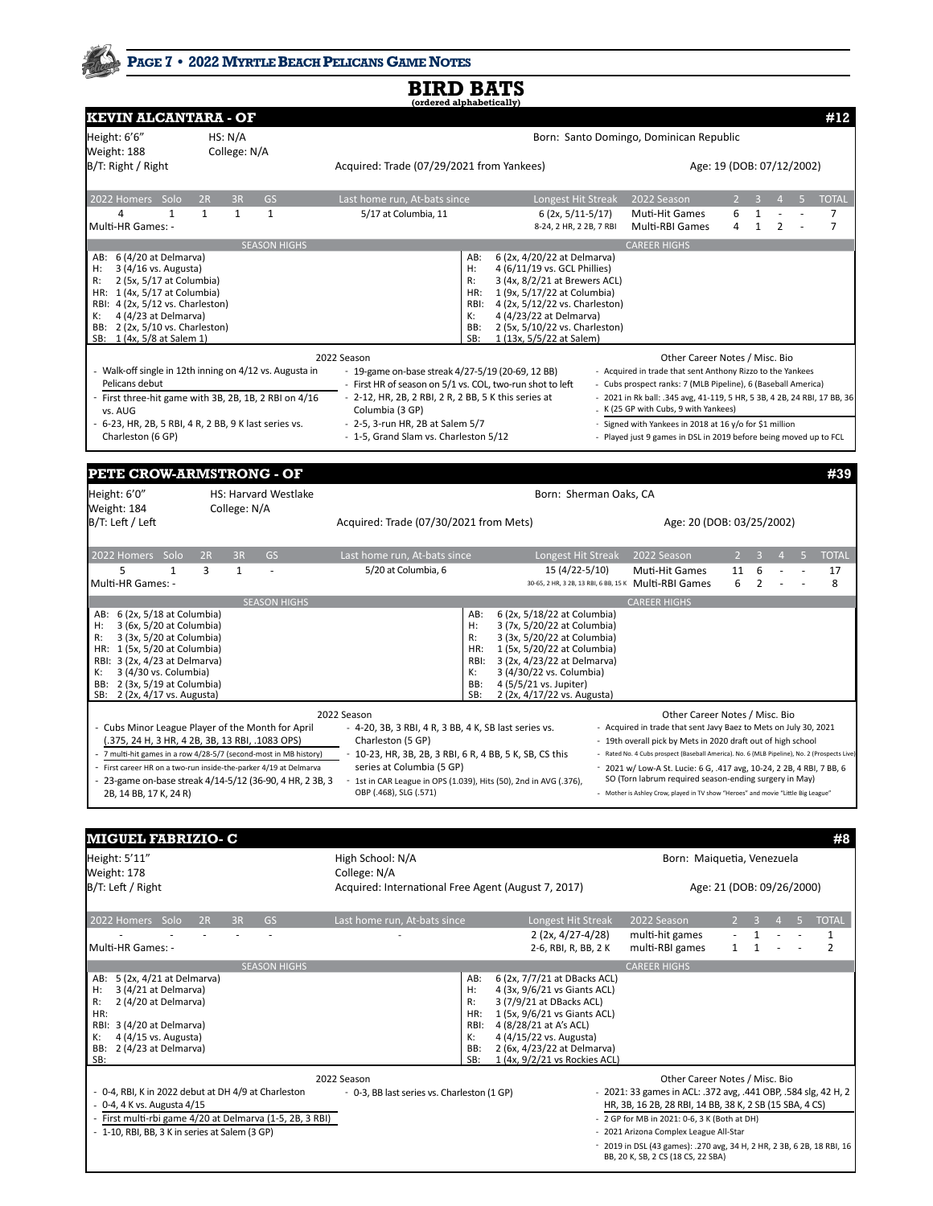## PAGE 7 · 2022 MYRTLE BEACH PELICANS GAME NOTES

|                                                                                                                                                                                                                                                                  |                                                                                                                                                                                                                                                                                                      | íordered alphabetically                                                                                                                                                                                                                                       |                                                                                                                                                                                                                                                        |                                                                                                                                                                                                                                                                                                                                                                                                                                                          |                |                   |   |  |                                  |
|------------------------------------------------------------------------------------------------------------------------------------------------------------------------------------------------------------------------------------------------------------------|------------------------------------------------------------------------------------------------------------------------------------------------------------------------------------------------------------------------------------------------------------------------------------------------------|---------------------------------------------------------------------------------------------------------------------------------------------------------------------------------------------------------------------------------------------------------------|--------------------------------------------------------------------------------------------------------------------------------------------------------------------------------------------------------------------------------------------------------|----------------------------------------------------------------------------------------------------------------------------------------------------------------------------------------------------------------------------------------------------------------------------------------------------------------------------------------------------------------------------------------------------------------------------------------------------------|----------------|-------------------|---|--|----------------------------------|
| <b>KEVIN ALCANTARA - OF</b>                                                                                                                                                                                                                                      |                                                                                                                                                                                                                                                                                                      |                                                                                                                                                                                                                                                               |                                                                                                                                                                                                                                                        |                                                                                                                                                                                                                                                                                                                                                                                                                                                          |                |                   |   |  | #12                              |
| Height: 6'6"<br>Weight: 188                                                                                                                                                                                                                                      | HS: N/A<br>College: N/A                                                                                                                                                                                                                                                                              |                                                                                                                                                                                                                                                               |                                                                                                                                                                                                                                                        | Born: Santo Domingo, Dominican Republic                                                                                                                                                                                                                                                                                                                                                                                                                  |                |                   |   |  |                                  |
| B/T: Right / Right                                                                                                                                                                                                                                               |                                                                                                                                                                                                                                                                                                      | Acquired: Trade (07/29/2021 from Yankees)                                                                                                                                                                                                                     |                                                                                                                                                                                                                                                        | Age: 19 (DOB: 07/12/2002)                                                                                                                                                                                                                                                                                                                                                                                                                                |                |                   |   |  |                                  |
| 2022 Homers Solo                                                                                                                                                                                                                                                 | GS<br>2R<br>3R                                                                                                                                                                                                                                                                                       | Last home run, At-bats since                                                                                                                                                                                                                                  | Longest Hit Streak                                                                                                                                                                                                                                     | 2022 Season                                                                                                                                                                                                                                                                                                                                                                                                                                              | $\overline{2}$ |                   |   |  | <b>TOTAL</b>                     |
| 4<br>1<br>Multi-HR Games: -                                                                                                                                                                                                                                      | $\mathbf{1}$<br>$\mathbf{1}$<br>$\mathbf{1}$                                                                                                                                                                                                                                                         | 5/17 at Columbia, 11                                                                                                                                                                                                                                          | 6 (2x, 5/11-5/17)<br>8-24, 2 HR, 2 2B, 7 RBI                                                                                                                                                                                                           | Muti-Hit Games<br>Multi-RBI Games                                                                                                                                                                                                                                                                                                                                                                                                                        | 6<br>4         | 1<br>$\mathbf{1}$ | 2 |  | $\overline{7}$<br>$\overline{7}$ |
|                                                                                                                                                                                                                                                                  | <b>SEASON HIGHS</b>                                                                                                                                                                                                                                                                                  |                                                                                                                                                                                                                                                               |                                                                                                                                                                                                                                                        | <b>CAREER HIGHS</b>                                                                                                                                                                                                                                                                                                                                                                                                                                      |                |                   |   |  |                                  |
| AB: 6 (4/20 at Delmarva)<br>3 (4/16 vs. Augusta)<br>H:<br>2 (5x, 5/17 at Columbia)<br>R:<br>HR: 1 (4x, 5/17 at Columbia)<br>RBI: 4 (2x, 5/12 vs. Charleston)<br>4 (4/23 at Delmarva)<br>к:<br>BB: 2 (2x, 5/10 vs. Charleston)<br>SB: 1 (4x, 5/8 at Salem 1)      |                                                                                                                                                                                                                                                                                                      | AB:<br>H:<br>R:<br>HR:<br>RBI:<br>К:<br>BB:<br>SB:                                                                                                                                                                                                            | 6 (2x, 4/20/22 at Delmarva)<br>4 (6/11/19 vs. GCL Phillies)<br>3 (4x, 8/2/21 at Brewers ACL)<br>1 (9x, 5/17/22 at Columbia)<br>4 (2x, 5/12/22 vs. Charleston)<br>4 (4/23/22 at Delmarva)<br>2 (5x, 5/10/22 vs. Charleston)<br>1 (13x, 5/5/22 at Salem) |                                                                                                                                                                                                                                                                                                                                                                                                                                                          |                |                   |   |  |                                  |
|                                                                                                                                                                                                                                                                  |                                                                                                                                                                                                                                                                                                      | 2022 Season                                                                                                                                                                                                                                                   |                                                                                                                                                                                                                                                        | Other Career Notes / Misc. Bio                                                                                                                                                                                                                                                                                                                                                                                                                           |                |                   |   |  |                                  |
| Pelicans debut<br>vs. AUG                                                                                                                                                                                                                                        | Walk-off single in 12th inning on 4/12 vs. Augusta in<br>First three-hit game with 3B, 2B, 1B, 2 RBI on 4/16                                                                                                                                                                                         | - 19-game on-base streak 4/27-5/19 (20-69, 12 BB)<br>- First HR of season on 5/1 vs. COL, two-run shot to left<br>- 2-12, HR, 2B, 2 RBI, 2 R, 2 BB, 5 K this series at<br>Columbia (3 GP)                                                                     |                                                                                                                                                                                                                                                        | - Acquired in trade that sent Anthony Rizzo to the Yankees<br>- Cubs prospect ranks: 7 (MLB Pipeline), 6 (Baseball America)<br>- 2021 in Rk ball: .345 avg, 41-119, 5 HR, 5 3B, 4 2B, 24 RBI, 17 BB, 36<br>K (25 GP with Cubs, 9 with Yankees)                                                                                                                                                                                                           |                |                   |   |  |                                  |
| Charleston (6 GP)                                                                                                                                                                                                                                                | 6-23, HR, 2B, 5 RBI, 4 R, 2 BB, 9 K last series vs.                                                                                                                                                                                                                                                  | - 2-5, 3-run HR, 2B at Salem 5/7<br>- 1-5, Grand Slam vs. Charleston 5/12                                                                                                                                                                                     |                                                                                                                                                                                                                                                        | - Signed with Yankees in 2018 at 16 y/o for \$1 million<br>- Played just 9 games in DSL in 2019 before being moved up to FCL                                                                                                                                                                                                                                                                                                                             |                |                   |   |  |                                  |
|                                                                                                                                                                                                                                                                  | PETE CROW-ARMSTRONG - OF                                                                                                                                                                                                                                                                             |                                                                                                                                                                                                                                                               |                                                                                                                                                                                                                                                        |                                                                                                                                                                                                                                                                                                                                                                                                                                                          |                |                   |   |  | #39                              |
| Height: 6'0"<br>Weight: 184                                                                                                                                                                                                                                      | <b>HS: Harvard Westlake</b><br>College: N/A                                                                                                                                                                                                                                                          |                                                                                                                                                                                                                                                               | Born: Sherman Oaks, CA                                                                                                                                                                                                                                 |                                                                                                                                                                                                                                                                                                                                                                                                                                                          |                |                   |   |  |                                  |
| B/T: Left / Left                                                                                                                                                                                                                                                 |                                                                                                                                                                                                                                                                                                      | Acquired: Trade (07/30/2021 from Mets)                                                                                                                                                                                                                        |                                                                                                                                                                                                                                                        | Age: 20 (DOB: 03/25/2002)                                                                                                                                                                                                                                                                                                                                                                                                                                |                |                   |   |  |                                  |
| 2022 Homers Solo                                                                                                                                                                                                                                                 | 3R<br><b>GS</b><br>2R                                                                                                                                                                                                                                                                                | Last home run, At-bats since                                                                                                                                                                                                                                  | Longest Hit Streak                                                                                                                                                                                                                                     | 2022 Season                                                                                                                                                                                                                                                                                                                                                                                                                                              |                |                   |   |  | <b>TOTAL</b>                     |
| 5<br>$\mathbf{1}$<br>Multi-HR Games: -                                                                                                                                                                                                                           | 3<br>$\mathbf{1}$<br>ä,                                                                                                                                                                                                                                                                              | 5/20 at Columbia, 6                                                                                                                                                                                                                                           | 15 (4/22-5/10)                                                                                                                                                                                                                                         | Muti-Hit Games<br>30-65, 2 HR, 3 2B, 13 RBI, 6 BB, 15 K Multi-RBI Games                                                                                                                                                                                                                                                                                                                                                                                  | 11<br>6        | 6<br>2            |   |  | 17<br>8                          |
|                                                                                                                                                                                                                                                                  | <b>SEASON HIGHS</b>                                                                                                                                                                                                                                                                                  |                                                                                                                                                                                                                                                               |                                                                                                                                                                                                                                                        | <b>CAREER HIGHS</b>                                                                                                                                                                                                                                                                                                                                                                                                                                      |                |                   |   |  |                                  |
| AB: 6 (2x, 5/18 at Columbia)<br>3 (6x, 5/20 at Columbia)<br>H:<br>3 (3x, 5/20 at Columbia)<br>R:<br>HR: 1 (5x, 5/20 at Columbia)<br>RBI: 3 (2x, 4/23 at Delmarva)<br>3 (4/30 vs. Columbia)<br>К:<br>BB: 2 (3x, 5/19 at Columbia)<br>SB: 2 (2x, 4/17 vs. Augusta) |                                                                                                                                                                                                                                                                                                      | AB:<br>Н:<br>R:<br>HR:<br>RBI:<br>К:<br>BB:<br>SB:                                                                                                                                                                                                            | 6 (2x, 5/18/22 at Columbia)<br>3 (7x, 5/20/22 at Columbia)<br>3 (3x, 5/20/22 at Columbia)<br>1 (5x, 5/20/22 at Columbia)<br>3 (2x, 4/23/22 at Delmarva)<br>3 (4/30/22 vs. Columbia)<br>4 (5/5/21 vs. Jupiter)<br>2 (2x, 4/17/22 vs. Augusta)           |                                                                                                                                                                                                                                                                                                                                                                                                                                                          |                |                   |   |  |                                  |
|                                                                                                                                                                                                                                                                  |                                                                                                                                                                                                                                                                                                      | 2022 Season                                                                                                                                                                                                                                                   |                                                                                                                                                                                                                                                        | Other Career Notes / Misc. Bio                                                                                                                                                                                                                                                                                                                                                                                                                           |                |                   |   |  |                                  |
| 2B, 14 BB, 17 K, 24 R)                                                                                                                                                                                                                                           | - Cubs Minor League Player of the Month for April<br>(.375, 24 H, 3 HR, 4 2B, 3B, 13 RBI, .1083 OPS)<br>7 multi-hit games in a row 4/28-5/7 (second-most in MB history)<br>First career HR on a two-run inside-the-parker 4/19 at Delmarva<br>23-game on-base streak 4/14-5/12 (36-90, 4 HR, 2 3B, 3 | - 4-20, 3B, 3 RBI, 4 R, 3 BB, 4 K, SB last series vs.<br>Charleston (5 GP)<br>10-23, HR, 3B, 2B, 3 RBI, 6 R, 4 BB, 5 K, SB, CS this<br>series at Columbia (5 GP)<br>1st in CAR League in OPS (1.039), Hits (50), 2nd in AVG (.376),<br>OBP (.468), SLG (.571) |                                                                                                                                                                                                                                                        | - Acquired in trade that sent Javy Baez to Mets on July 30, 2021<br>- 19th overall pick by Mets in 2020 draft out of high school<br>- Rated No. 4 Cubs prospect (Baseball America). No. 6 (MLB Pipeline), No. 2 (Prospects Live)<br>- 2021 w/ Low-A St. Lucie: 6 G, .417 avg, 10-24, 2 2B, 4 RBI, 7 BB, 6<br>SO (Torn labrum required season-ending surgery in May)<br>- Mother is Ashley Crow, played in TV show "Heroes" and movie "Little Big League" |                |                   |   |  |                                  |

| <b>MIGUEL FABRIZIO- C</b>                                                                                                                                                                              |                                                     |                                                                                                                                                                                                                                               |                                                                                                                           |                           |    |   | #8           |
|--------------------------------------------------------------------------------------------------------------------------------------------------------------------------------------------------------|-----------------------------------------------------|-----------------------------------------------------------------------------------------------------------------------------------------------------------------------------------------------------------------------------------------------|---------------------------------------------------------------------------------------------------------------------------|---------------------------|----|---|--------------|
| Height: 5'11"<br>Weight: 178                                                                                                                                                                           | High School: N/A<br>College: N/A                    |                                                                                                                                                                                                                                               | Born: Maiquetia, Venezuela                                                                                                |                           |    |   |              |
| B/T: Left / Right                                                                                                                                                                                      | Acquired: International Free Agent (August 7, 2017) |                                                                                                                                                                                                                                               |                                                                                                                           | Age: 21 (DOB: 09/26/2000) |    |   |              |
| 2022 Homers<br>Solo<br>3R<br><b>GS</b><br>2R                                                                                                                                                           | Last home run, At-bats since                        | Longest Hit Streak                                                                                                                                                                                                                            | 2022 Season                                                                                                               |                           | -3 | 5 | <b>TOTAL</b> |
| Multi-HR Games: -                                                                                                                                                                                      |                                                     | 2 (2x, 4/27-4/28)<br>2-6, RBI, R, BB, 2 K                                                                                                                                                                                                     | multi-hit games<br>multi-RBI games                                                                                        |                           |    |   |              |
| <b>SEASON HIGHS</b>                                                                                                                                                                                    |                                                     |                                                                                                                                                                                                                                               | <b>CAREER HIGHS</b>                                                                                                       |                           |    |   |              |
| 5 (2x, 4/21 at Delmarva)<br>AB:<br>H:<br>3 (4/21 at Delmarva)<br>R:<br>2 (4/20 at Delmarva)<br>HR:<br>RBI:<br>3 (4/20 at Delmarva)<br>К:<br>4 (4/15 vs. Augusta)<br>2 (4/23 at Delmarva)<br>BB:<br>SB: | AB:<br>H:<br>R:<br>HR:<br>RBI:<br>К:<br>BB:<br>SB:  | 6 (2x, 7/7/21 at DBacks ACL)<br>4 (3x, 9/6/21 vs Giants ACL)<br>3 (7/9/21 at DBacks ACL)<br>1 (5x, 9/6/21 vs Giants ACL)<br>4 (8/28/21 at A's ACL)<br>4 (4/15/22 vs. Augusta)<br>2 (6x, 4/23/22 at Delmarva)<br>1 (4x, 9/2/21 vs Rockies ACL) |                                                                                                                           |                           |    |   |              |
|                                                                                                                                                                                                        | 2022 Season                                         |                                                                                                                                                                                                                                               | Other Career Notes / Misc. Bio                                                                                            |                           |    |   |              |
| - 0-4, RBI, K in 2022 debut at DH 4/9 at Charleston<br>$-0-4$ , 4 K vs. Augusta 4/15                                                                                                                   | - 0-3, BB last series vs. Charleston (1 GP)         |                                                                                                                                                                                                                                               | - 2021: 33 games in ACL: .372 avg, .441 OBP, .584 slg, 42 H, 2<br>HR, 3B, 16 2B, 28 RBI, 14 BB, 38 K, 2 SB (15 SBA, 4 CS) |                           |    |   |              |
| First multi-rbi game 4/20 at Delmarva (1-5, 2B, 3 RBI)                                                                                                                                                 |                                                     |                                                                                                                                                                                                                                               | - 2 GP for MB in 2021: 0-6, 3 K (Both at DH)                                                                              |                           |    |   |              |
| 1-10, RBI, BB, 3 K in series at Salem (3 GP)                                                                                                                                                           |                                                     |                                                                                                                                                                                                                                               | - 2021 Arizona Complex League All-Star                                                                                    |                           |    |   |              |
|                                                                                                                                                                                                        |                                                     |                                                                                                                                                                                                                                               | 2019 in DSL (43 games): .270 avg, 34 H, 2 HR, 2 3B, 6 2B, 18 RBI, 16<br>BB, 20 K, SB, 2 CS (18 CS, 22 SBA)                |                           |    |   |              |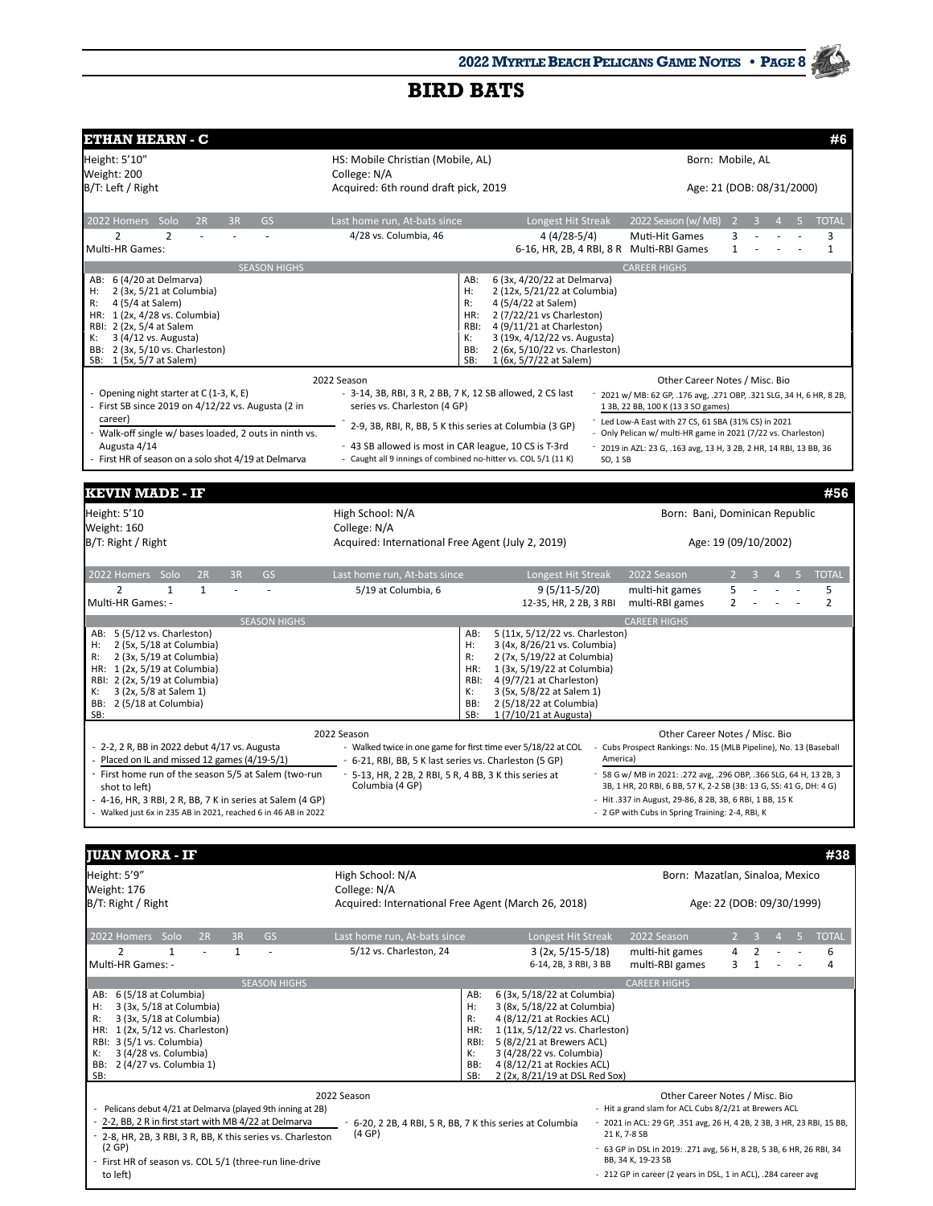| ETHAN HEARN - C                                                                                                   |                                                                         |                                                                         |                    |                                                                                                                                        |                               |              | #6           |
|-------------------------------------------------------------------------------------------------------------------|-------------------------------------------------------------------------|-------------------------------------------------------------------------|--------------------|----------------------------------------------------------------------------------------------------------------------------------------|-------------------------------|--------------|--------------|
| Height: 5'10"                                                                                                     | HS: Mobile Christian (Mobile, AL)                                       |                                                                         |                    |                                                                                                                                        | Born: Mobile, AL              |              |              |
| Weight: 200                                                                                                       | College: N/A                                                            |                                                                         |                    |                                                                                                                                        |                               |              |              |
| B/T: Left / Right                                                                                                 | Acquired: 6th round draft pick, 2019                                    |                                                                         |                    |                                                                                                                                        | Age: 21 (DOB: 08/31/2000)     |              |              |
| 2022 Homers Solo<br>2R<br>3R<br><b>GS</b>                                                                         | Last home run, At-bats since                                            | Longest Hit Streak                                                      |                    | 2022 Season (w/MB)                                                                                                                     | 2                             |              | <b>TOTAL</b> |
| $\overline{2}$<br>2                                                                                               | 4/28 vs. Columbia, 46                                                   | $4(4/28-5/4)$                                                           |                    | Muti-Hit Games                                                                                                                         | 3                             |              | 3            |
| Multi-HR Games:                                                                                                   |                                                                         | 6-16, HR, 2B, 4 RBI, 8 R Multi-RBI Games                                |                    |                                                                                                                                        | $\mathbf{1}$                  |              | $\mathbf{1}$ |
| <b>SEASON HIGHS</b><br>AB: 6 (4/20 at Delmarva)                                                                   |                                                                         | AB:<br>6 (3x, 4/20/22 at Delmarva)                                      |                    | <b>CAREER HIGHS</b>                                                                                                                    |                               |              |              |
| 2 (3x, 5/21 at Columbia)<br>H:                                                                                    |                                                                         | н:<br>2 (12x, 5/21/22 at Columbia)                                      |                    |                                                                                                                                        |                               |              |              |
| 4 (5/4 at Salem)<br>R:<br>HR: 1 (2x, 4/28 vs. Columbia)                                                           |                                                                         | R:<br>4 (5/4/22 at Salem)<br>HR:<br>2 (7/22/21 vs Charleston)           |                    |                                                                                                                                        |                               |              |              |
| RBI: 2 (2x, 5/4 at Salem                                                                                          |                                                                         | RBI:<br>4 (9/11/21 at Charleston)                                       |                    |                                                                                                                                        |                               |              |              |
| 3 (4/12 vs. Augusta)<br>к:                                                                                        |                                                                         | 3 (19x, 4/12/22 vs. Augusta)<br>К:                                      |                    |                                                                                                                                        |                               |              |              |
| BB: 2 (3x, 5/10 vs. Charleston)<br>SB: 1 (5x, 5/7 at Salem)                                                       |                                                                         | BB:<br>2 (6x, 5/10/22 vs. Charleston)<br>SB:<br>1 (6x, 5/7/22 at Salem) |                    |                                                                                                                                        |                               |              |              |
|                                                                                                                   | 2022 Season                                                             |                                                                         |                    | Other Career Notes / Misc. Bio                                                                                                         |                               |              |              |
| - Opening night starter at C (1-3, K, E)                                                                          | - 3-14, 3B, RBI, 3 R, 2 BB, 7 K, 12 SB allowed, 2 CS last               |                                                                         |                    | 2021 w/ MB: 62 GP, .176 avg, .271 OBP, .321 SLG, 34 H, 6 HR, 8 2B,                                                                     |                               |              |              |
| - First SB since 2019 on 4/12/22 vs. Augusta (2 in<br>career)                                                     | series vs. Charleston (4 GP)                                            |                                                                         |                    | 1 3B, 22 BB, 100 K (13 3 SO games)                                                                                                     |                               |              |              |
| - Walk-off single w/ bases loaded, 2 outs in ninth vs.                                                            | 2-9, 3B, RBI, R, BB, 5 K this series at Columbia (3 GP)                 |                                                                         |                    | Led Low-A East with 27 CS, 61 SBA (31% CS) in 2021<br>- Only Pelican w/ multi-HR game in 2021 (7/22 vs. Charleston)                    |                               |              |              |
| Augusta 4/14                                                                                                      | - 43 SB allowed is most in CAR league, 10 CS is T-3rd                   |                                                                         |                    | 2019 in AZL: 23 G, .163 avg, 13 H, 3 2B, 2 HR, 14 RBI, 13 BB, 36                                                                       |                               |              |              |
| - First HR of season on a solo shot 4/19 at Delmarva                                                              | - Caught all 9 innings of combined no-hitter vs. COL 5/1 (11 K)         |                                                                         | SO, 1SB            |                                                                                                                                        |                               |              |              |
| KEVIN MADE - IF                                                                                                   |                                                                         |                                                                         |                    |                                                                                                                                        |                               |              | #56          |
|                                                                                                                   | High School: N/A                                                        |                                                                         |                    |                                                                                                                                        |                               |              |              |
| Height: 5'10<br>Weight: 160                                                                                       | College: N/A                                                            |                                                                         |                    | Born: Bani, Dominican Republic                                                                                                         |                               |              |              |
| B/T: Right / Right                                                                                                | Acquired: International Free Agent (July 2, 2019)                       |                                                                         |                    |                                                                                                                                        | Age: 19 (09/10/2002)          |              |              |
|                                                                                                                   |                                                                         |                                                                         |                    |                                                                                                                                        |                               |              |              |
| 2022 Homers Solo<br>2R<br>3R<br><b>GS</b>                                                                         | Last home run, At-bats since                                            | Longest Hit Streak                                                      |                    | 2022 Season                                                                                                                            |                               |              | <b>TOTAL</b> |
| $\overline{2}$<br>$\mathbf{1}$<br>$\mathbf{1}$                                                                    | 5/19 at Columbia, 6                                                     | $9(5/11-5/20)$                                                          |                    | multi-hit games                                                                                                                        | 5                             |              | 5            |
| Multi-HR Games: -                                                                                                 |                                                                         | 12-35, HR, 2 2B, 3 RBI                                                  |                    | multi-RBI games                                                                                                                        | 2                             |              | 2            |
| <b>SEASON HIGHS</b><br>AB: 5 (5/12 vs. Charleston)                                                                |                                                                         | 5 (11x, 5/12/22 vs. Charleston)<br>AB:                                  |                    | <b>CAREER HIGHS</b>                                                                                                                    |                               |              |              |
| 2 (5x, 5/18 at Columbia)<br>н:                                                                                    |                                                                         | H:<br>3 (4x, 8/26/21 vs. Columbia)                                      |                    |                                                                                                                                        |                               |              |              |
| 2 (3x, 5/19 at Columbia)<br>R:                                                                                    |                                                                         | 2 (7x, 5/19/22 at Columbia)<br>R:                                       |                    |                                                                                                                                        |                               |              |              |
| HR: 1 (2x, 5/19 at Columbia)<br>RBI: 2 (2x, 5/19 at Columbia)                                                     |                                                                         | 1 (3x, 5/19/22 at Columbia)<br>HR:<br>4 (9/7/21 at Charleston)<br>RBI:  |                    |                                                                                                                                        |                               |              |              |
| 3 (2x, 5/8 at Salem 1)<br>К:                                                                                      |                                                                         | К:<br>3 (5x, 5/8/22 at Salem 1)                                         |                    |                                                                                                                                        |                               |              |              |
| BB: 2 (5/18 at Columbia)<br>SB:                                                                                   |                                                                         | 2 (5/18/22 at Columbia)<br>BB:<br>1 (7/10/21 at Augusta)<br>SB:         |                    |                                                                                                                                        |                               |              |              |
|                                                                                                                   | 2022 Season                                                             |                                                                         |                    | Other Career Notes / Misc. Bio                                                                                                         |                               |              |              |
| - 2-2, 2 R, BB in 2022 debut 4/17 vs. Augusta                                                                     | - Walked twice in one game for first time ever 5/18/22 at COL           |                                                                         |                    | Cubs Prospect Rankings: No. 15 (MLB Pipeline), No. 13 (Baseball                                                                        |                               |              |              |
| - Placed on IL and missed 12 games (4/19-5/1)                                                                     | - 6-21, RBI, BB, 5 K last series vs. Charleston (5 GP)                  |                                                                         | America)           |                                                                                                                                        |                               |              |              |
| - First home run of the season 5/5 at Salem (two-run                                                              | 5-13, HR, 2 2B, 2 RBI, 5 R, 4 BB, 3 K this series at<br>Columbia (4 GP) |                                                                         |                    | 58 G w/ MB in 2021: .272 avg, .296 OBP, .366 SLG, 64 H, 13 2B, 3<br>3B, 1 HR, 20 RBI, 6 BB, 57 K, 2-2 SB (3B: 13 G, SS: 41 G, DH: 4 G) |                               |              |              |
| shot to left)<br>- 4-16, HR, 3 RBI, 2 R, BB, 7 K in series at Salem (4 GP)                                        |                                                                         |                                                                         |                    | - Hit .337 in August, 29-86, 8 2B, 3B, 6 RBI, 1 BB, 15 K                                                                               |                               |              |              |
| - Walked just 6x in 235 AB in 2021, reached 6 in 46 AB in 2022                                                    |                                                                         |                                                                         |                    | - 2 GP with Cubs in Spring Training: 2-4, RBI, K                                                                                       |                               |              |              |
|                                                                                                                   |                                                                         |                                                                         |                    |                                                                                                                                        |                               |              |              |
| <b>JUAN MORA - IF</b>                                                                                             |                                                                         |                                                                         |                    |                                                                                                                                        |                               |              | #38          |
| Height: 5'9"                                                                                                      | High School: N/A                                                        |                                                                         |                    | Born: Mazatlan, Sinaloa, Mexico                                                                                                        |                               |              |              |
| Weight: 176                                                                                                       | College: N/A                                                            |                                                                         |                    |                                                                                                                                        |                               |              |              |
| B/T: Right / Right                                                                                                | Acquired: International Free Agent (March 26, 2018)                     |                                                                         |                    |                                                                                                                                        | Age: 22 (DOB: 09/30/1999)     |              |              |
| 2022 Homers Solo<br>2R<br>GS                                                                                      |                                                                         | Longest Hit Streak                                                      |                    | 2022 Season                                                                                                                            |                               | $\mathbf{A}$ | <b>TOTAL</b> |
| 3R<br>$\mathbf{1}$<br>2<br>1<br>ä,                                                                                | Last home run, At-bats since<br>5/12 vs. Charleston, 24                 | $3(2x, 5/15-5/18)$                                                      |                    | multi-hit games                                                                                                                        | $\overline{2}$<br>3<br>4<br>2 |              | 6            |
| Multi-HR Games: -                                                                                                 |                                                                         | 6-14, 2B, 3 RBI, 3 BB                                                   |                    | multi-RBI games                                                                                                                        | 3<br>$1\,$                    |              | 4            |
| <b>SEASON HIGHS</b>                                                                                               |                                                                         |                                                                         |                    | <b>CAREER HIGHS</b>                                                                                                                    |                               |              |              |
| AB: 6 (5/18 at Columbia)                                                                                          |                                                                         | AB:<br>6 (3x, 5/18/22 at Columbia)                                      |                    |                                                                                                                                        |                               |              |              |
| 3 (3x, 5/18 at Columbia)<br>Н:<br>3 (3x, 5/18 at Columbia)<br>R:                                                  |                                                                         | Н:<br>3 (8x, 5/18/22 at Columbia)<br>R:<br>4 (8/12/21 at Rockies ACL)   |                    |                                                                                                                                        |                               |              |              |
| HR: 1 (2x, 5/12 vs. Charleston)                                                                                   |                                                                         | 1 (11x, 5/12/22 vs. Charleston)<br>HR:                                  |                    |                                                                                                                                        |                               |              |              |
| RBI: 3 (5/1 vs. Columbia)<br>3 (4/28 vs. Columbia)                                                                |                                                                         | 5 (8/2/21 at Brewers ACL)<br>RBI:<br>3 (4/28/22 vs. Columbia)<br>К:     |                    |                                                                                                                                        |                               |              |              |
| к:<br>BB: 2 (4/27 vs. Columbia 1)                                                                                 |                                                                         | 4 (8/12/21 at Rockies ACL)<br>BB:                                       |                    |                                                                                                                                        |                               |              |              |
| SB:                                                                                                               |                                                                         | 2 (2x, 8/21/19 at DSL Red Sox)<br>SB:                                   |                    |                                                                                                                                        |                               |              |              |
|                                                                                                                   | 2022 Season                                                             |                                                                         |                    | Other Career Notes / Misc. Bio                                                                                                         |                               |              |              |
| Pelicans debut 4/21 at Delmarva (played 9th inning at 2B)<br>2-2, BB, 2 R in first start with MB 4/22 at Delmarva | - 6-20, 2 2B, 4 RBI, 5 R, BB, 7 K this series at Columbia               |                                                                         |                    | - Hit a grand slam for ACL Cubs 8/2/21 at Brewers ACL<br>- 2021 in ACL: 29 GP, .351 avg, 26 H, 4 2B, 2 3B, 3 HR, 23 RBI, 15 BB,        |                               |              |              |
| 2-8, HR, 2B, 3 RBI, 3 R, BB, K this series vs. Charleston                                                         | (4 GP)                                                                  |                                                                         | 21 K, 7-8 SB       |                                                                                                                                        |                               |              |              |
| (2 GP)                                                                                                            |                                                                         |                                                                         |                    | - 63 GP in DSL in 2019: .271 avg, 56 H, 8 2B, 5 3B, 6 HR, 26 RBI, 34                                                                   |                               |              |              |
| First HR of season vs. COL 5/1 (three-run line-drive                                                              |                                                                         |                                                                         | BB, 34 K, 19-23 SB |                                                                                                                                        |                               |              |              |
| to left)                                                                                                          |                                                                         |                                                                         |                    | - 212 GP in career (2 years in DSL, 1 in ACL), .284 career avg                                                                         |                               |              |              |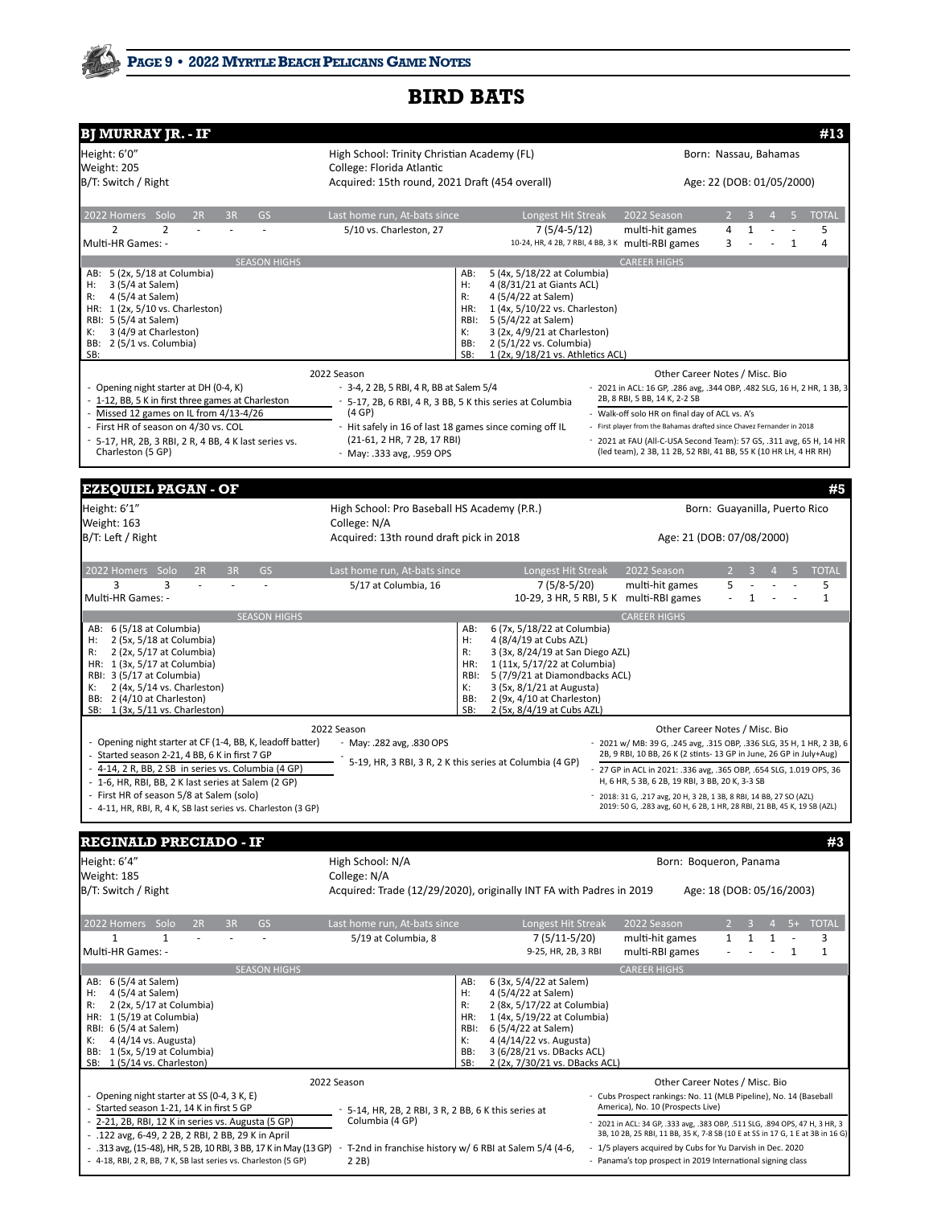| <b>BJ MURRAY JR. - IF</b>                                                                                          |                                                                                        |                                                                               |                                                                                                                                                             |                                |                |                |                            | #13                           |  |
|--------------------------------------------------------------------------------------------------------------------|----------------------------------------------------------------------------------------|-------------------------------------------------------------------------------|-------------------------------------------------------------------------------------------------------------------------------------------------------------|--------------------------------|----------------|----------------|----------------------------|-------------------------------|--|
| Height: 6'0"<br>Weight: 205                                                                                        | High School: Trinity Christian Academy (FL)<br>College: Florida Atlantic               |                                                                               |                                                                                                                                                             | Born: Nassau, Bahamas          |                |                |                            |                               |  |
| B/T: Switch / Right                                                                                                | Acquired: 15th round, 2021 Draft (454 overall)                                         |                                                                               | Age: 22 (DOB: 01/05/2000)                                                                                                                                   |                                |                |                |                            |                               |  |
| 2022 Homers Solo<br><b>GS</b><br>2R<br>3R                                                                          | Last home run, At-bats since                                                           | Longest Hit Streak                                                            | 2022 Season                                                                                                                                                 |                                | $\overline{2}$ | 3              | $\Delta$                   | <b>TOTAL</b>                  |  |
| 2<br>$\overline{2}$<br>Multi-HR Games: -                                                                           | 5/10 vs. Charleston, 27                                                                | 7 (5/4-5/12)<br>10-24, HR, 4 2B, 7 RBI, 4 BB, 3 K multi-RBI games             | multi-hit games                                                                                                                                             |                                | 4<br>3         | $\mathbf{1}$   | $\mathbf{1}$               | 5<br>4                        |  |
| <b>SEASON HIGHS</b><br>AB: 5 (2x, 5/18 at Columbia)                                                                |                                                                                        | 5 (4x, 5/18/22 at Columbia)<br>AB:                                            | <b>CAREER HIGHS</b>                                                                                                                                         |                                |                |                |                            |                               |  |
| 3 (5/4 at Salem)<br>Н:                                                                                             |                                                                                        | H:<br>4 (8/31/21 at Giants ACL)                                               |                                                                                                                                                             |                                |                |                |                            |                               |  |
| 4 (5/4 at Salem)<br>R:                                                                                             |                                                                                        | R:<br>4 (5/4/22 at Salem)                                                     |                                                                                                                                                             |                                |                |                |                            |                               |  |
| HR: 1 (2x, 5/10 vs. Charleston)<br>RBI: 5 (5/4 at Salem)                                                           |                                                                                        | 1 (4x, 5/10/22 vs. Charleston)<br>HR:<br>RBI:<br>5 (5/4/22 at Salem)          |                                                                                                                                                             |                                |                |                |                            |                               |  |
| 3 (4/9 at Charleston)<br>К:                                                                                        |                                                                                        | 3 (2x, 4/9/21 at Charleston)<br>К:                                            |                                                                                                                                                             |                                |                |                |                            |                               |  |
| BB: 2 (5/1 vs. Columbia)<br>SB:                                                                                    |                                                                                        | 2 (5/1/22 vs. Columbia)<br>BB:<br>SB:<br>1 (2x, 9/18/21 vs. Athletics ACL)    |                                                                                                                                                             |                                |                |                |                            |                               |  |
|                                                                                                                    | 2022 Season                                                                            |                                                                               |                                                                                                                                                             | Other Career Notes / Misc. Bio |                |                |                            |                               |  |
| - Opening night starter at DH (0-4, K)                                                                             | - 3-4, 2 2B, 5 RBI, 4 R, BB at Salem 5/4                                               |                                                                               | - 2021 in ACL: 16 GP, .286 avg, .344 OBP, .482 SLG, 16 H, 2 HR, 1 3B, 3                                                                                     |                                |                |                |                            |                               |  |
| 1-12, BB, 5 K in first three games at Charleston                                                                   | - 5-17, 2B, 6 RBI, 4 R, 3 BB, 5 K this series at Columbia                              |                                                                               | 2B, 8 RBI, 5 BB, 14 K, 2-2 SB                                                                                                                               |                                |                |                |                            |                               |  |
| Missed 12 games on IL from 4/13-4/26                                                                               | (4 GP)                                                                                 |                                                                               | - Walk-off solo HR on final day of ACL vs. A's                                                                                                              |                                |                |                |                            |                               |  |
| First HR of season on 4/30 vs. COL<br>5-17, HR, 2B, 3 RBI, 2 R, 4 BB, 4 K last series vs.                          | - Hit safely in 16 of last 18 games since coming off IL<br>(21-61, 2 HR, 7 2B, 17 RBI) |                                                                               | - First player from the Bahamas drafted since Chavez Fernander in 2018<br>2021 at FAU (All-C-USA Second Team): 57 GS, .311 avg, 65 H, 14 HR                 |                                |                |                |                            |                               |  |
| Charleston (5 GP)                                                                                                  | - May: .333 avg, .959 OPS                                                              |                                                                               | (led team), 2 3B, 11 2B, 52 RBI, 41 BB, 55 K (10 HR LH, 4 HR RH)                                                                                            |                                |                |                |                            |                               |  |
| <b>EZEQUIEL PAGAN - OF</b>                                                                                         |                                                                                        |                                                                               |                                                                                                                                                             |                                |                |                |                            | #5                            |  |
| Height: 6'1"                                                                                                       | High School: Pro Baseball HS Academy (P.R.)                                            |                                                                               |                                                                                                                                                             |                                |                |                |                            | Born: Guayanilla, Puerto Rico |  |
| Weight: 163                                                                                                        | College: N/A                                                                           |                                                                               |                                                                                                                                                             |                                |                |                |                            |                               |  |
| B/T: Left / Right                                                                                                  | Acquired: 13th round draft pick in 2018                                                |                                                                               |                                                                                                                                                             | Age: 21 (DOB: 07/08/2000)      |                |                |                            |                               |  |
| 2022 Homers Solo<br>GS<br>2R<br>3R                                                                                 | Last home run, At-bats since                                                           | Longest Hit Streak                                                            | 2022 Season                                                                                                                                                 |                                |                |                |                            | <b>TOTAL</b>                  |  |
| 3<br>3<br>Multi-HR Games: -                                                                                        | 5/17 at Columbia, 16                                                                   | $7(5/8-5/20)$<br>10-29, 3 HR, 5 RBI, 5 K multi-RBI games                      |                                                                                                                                                             | multi-hit games                | 5              | $\mathbf{1}$   |                            | 5<br>$\mathbf{1}$             |  |
| <b>SEASON HIGHS</b><br>AB: 6 (5/18 at Columbia)                                                                    |                                                                                        | 6 (7x, 5/18/22 at Columbia)<br>AB:                                            | <b>CAREER HIGHS</b>                                                                                                                                         |                                |                |                |                            |                               |  |
| 2 (5x, 5/18 at Columbia)<br>н:                                                                                     |                                                                                        | H:<br>4 (8/4/19 at Cubs AZL)                                                  |                                                                                                                                                             |                                |                |                |                            |                               |  |
| 2 (2x, 5/17 at Columbia)<br>R:                                                                                     |                                                                                        | R:<br>3 (3x, 8/24/19 at San Diego AZL)                                        |                                                                                                                                                             |                                |                |                |                            |                               |  |
| HR: 1 (3x, 5/17 at Columbia)<br>RBI: 3 (5/17 at Columbia)                                                          |                                                                                        | 1 (11x, 5/17/22 at Columbia)<br>HR:<br>RBI:<br>5 (7/9/21 at Diamondbacks ACL) |                                                                                                                                                             |                                |                |                |                            |                               |  |
| 2 (4x, 5/14 vs. Charleston)<br>к:                                                                                  |                                                                                        | К:<br>3 (5x, 8/1/21 at Augusta)                                               |                                                                                                                                                             |                                |                |                |                            |                               |  |
| BB: 2 (4/10 at Charleston)<br>SB: 1 (3x, 5/11 vs. Charleston)                                                      |                                                                                        | BB:<br>2 (9x, 4/10 at Charleston)<br>SB:<br>2 (5x, 8/4/19 at Cubs AZL)        |                                                                                                                                                             |                                |                |                |                            |                               |  |
|                                                                                                                    | 2022 Season                                                                            |                                                                               |                                                                                                                                                             | Other Career Notes / Misc. Bio |                |                |                            |                               |  |
| - Opening night starter at CF (1-4, BB, K, leadoff batter)                                                         | May: .282 avg, .830 OPS                                                                |                                                                               | - 2021 w/ MB: 39 G, .245 avg, .315 OBP, .336 SLG, 35 H, 1 HR, 2 3B, 6                                                                                       |                                |                |                |                            |                               |  |
| Started season 2-21, 4 BB, 6 K in first 7 GP                                                                       |                                                                                        | 5-19, HR, 3 RBI, 3 R, 2 K this series at Columbia (4 GP)                      | 2B, 9 RBI, 10 BB, 26 K (2 stints- 13 GP in June, 26 GP in July+Aug)                                                                                         |                                |                |                |                            |                               |  |
| 4-14, 2 R, BB, 2 SB in series vs. Columbia (4 GP)<br>1-6, HR, RBI, BB, 2 K last series at Salem (2 GP)             |                                                                                        |                                                                               | 27 GP in ACL in 2021: .336 avg, .365 OBP, .654 SLG, 1.019 OPS, 36<br>H, 6 HR, 5 3B, 6 2B, 19 RBI, 3 BB, 20 K, 3-3 SB                                        |                                |                |                |                            |                               |  |
| First HR of season 5/8 at Salem (solo)                                                                             |                                                                                        |                                                                               | 2018: 31 G, .217 avg, 20 H, 3 2B, 1 3B, 8 RBI, 14 BB, 27 SO (AZL)                                                                                           |                                |                |                |                            |                               |  |
| - 4-11, HR, RBI, R, 4 K, SB last series vs. Charleston (3 GP)                                                      |                                                                                        |                                                                               | 2019: 50 G, .283 avg, 60 H, 6 2B, 1 HR, 28 RBI, 21 BB, 45 K, 19 SB (AZL)                                                                                    |                                |                |                |                            |                               |  |
| <b>REGINALD PRECIADO - IF</b>                                                                                      |                                                                                        |                                                                               |                                                                                                                                                             |                                |                |                |                            | #3                            |  |
| Height: 6'4"                                                                                                       | High School: N/A                                                                       |                                                                               |                                                                                                                                                             | Born: Boqueron, Panama         |                |                |                            |                               |  |
| Weight: 185                                                                                                        | College: N/A                                                                           |                                                                               |                                                                                                                                                             |                                |                |                |                            |                               |  |
| B/T: Switch / Right                                                                                                |                                                                                        | Acquired: Trade (12/29/2020), originally INT FA with Padres in 2019           |                                                                                                                                                             |                                |                |                | Age: 18 (DOB: 05/16/2003)  |                               |  |
| 2022 Homers Solo<br><b>GS</b><br>2R<br>3R                                                                          | Last home run, At-bats since                                                           | Longest Hit Streak                                                            | 2022 Season                                                                                                                                                 |                                | $\overline{2}$ | $\overline{3}$ | $5+$<br>$\mathbf{\Lambda}$ | <b>TOTAL</b>                  |  |
| 1<br>1<br>Multi-HR Games: -                                                                                        | 5/19 at Columbia, 8                                                                    | 7 (5/11-5/20)<br>9-25, HR, 2B, 3 RBI                                          | multi-hit games                                                                                                                                             | multi-RBI games                | 1              | 1              | 1<br>1                     | 3<br>$\mathbf 1$              |  |
| <b>SEASON HIGHS</b>                                                                                                |                                                                                        |                                                                               | <b>CAREER HIGHS</b>                                                                                                                                         |                                |                |                |                            |                               |  |
| AB: 6 (5/4 at Salem)<br>4 (5/4 at Salem)<br>Н:                                                                     |                                                                                        | 6 (3x, 5/4/22 at Salem)<br>AB:<br>Н:<br>4 (5/4/22 at Salem)                   |                                                                                                                                                             |                                |                |                |                            |                               |  |
| 2 (2x, 5/17 at Columbia)<br>R:                                                                                     |                                                                                        | R:<br>2 (8x, 5/17/22 at Columbia)                                             |                                                                                                                                                             |                                |                |                |                            |                               |  |
| HR: 1 (5/19 at Columbia)                                                                                           |                                                                                        | 1 (4x, 5/19/22 at Columbia)<br>HR:                                            |                                                                                                                                                             |                                |                |                |                            |                               |  |
| RBI: 6 (5/4 at Salem)<br>4 (4/14 vs. Augusta)<br>к:                                                                |                                                                                        | 6 (5/4/22 at Salem)<br>RBI:<br>4 (4/14/22 vs. Augusta)<br>к:                  |                                                                                                                                                             |                                |                |                |                            |                               |  |
| BB: 1 (5x, 5/19 at Columbia)                                                                                       |                                                                                        | 3 (6/28/21 vs. DBacks ACL)<br>BB:<br>2 (2x, 7/30/21 vs. DBacks ACL)<br>SB:    |                                                                                                                                                             |                                |                |                |                            |                               |  |
| SB: 1 (5/14 vs. Charleston)                                                                                        | 2022 Season                                                                            |                                                                               |                                                                                                                                                             | Other Career Notes / Misc. Bio |                |                |                            |                               |  |
| - Opening night starter at SS (0-4, 3 K, E)                                                                        |                                                                                        |                                                                               | Cubs Prospect rankings: No. 11 (MLB Pipeline), No. 14 (Baseball                                                                                             |                                |                |                |                            |                               |  |
| Started season 1-21, 14 K in first 5 GP                                                                            | 5-14, HR, 2B, 2 RBI, 3 R, 2 BB, 6 K this series at                                     |                                                                               | America), No. 10 (Prospects Live)                                                                                                                           |                                |                |                |                            |                               |  |
| 2-21, 2B, RBI, 12 K in series vs. Augusta (5 GP)                                                                   | Columbia (4 GP)                                                                        |                                                                               | 2021 in ACL: 34 GP, .333 avg, .383 OBP, .511 SLG, .894 OPS, 47 H, 3 HR, 3<br>3B, 10 2B, 25 RBI, 11 BB, 35 K, 7-8 SB (10 E at SS in 17 G, 1 E at 3B in 16 G) |                                |                |                |                            |                               |  |
| .122 avg, 6-49, 2 2B, 2 RBI, 2 BB, 29 K in April<br>.313 avg, (15-48), HR, 5 2B, 10 RBI, 3 BB, 17 K in May (13 GP) | - T-2nd in franchise history w/ 6 RBI at Salem 5/4 (4-6,                               |                                                                               | 1/5 players acquired by Cubs for Yu Darvish in Dec. 2020                                                                                                    |                                |                |                |                            |                               |  |
| - 4-18, RBI, 2 R, BB, 7 K, SB last series vs. Charleston (5 GP)                                                    | 2 2B                                                                                   |                                                                               | - Panama's top prospect in 2019 International signing class                                                                                                 |                                |                |                |                            |                               |  |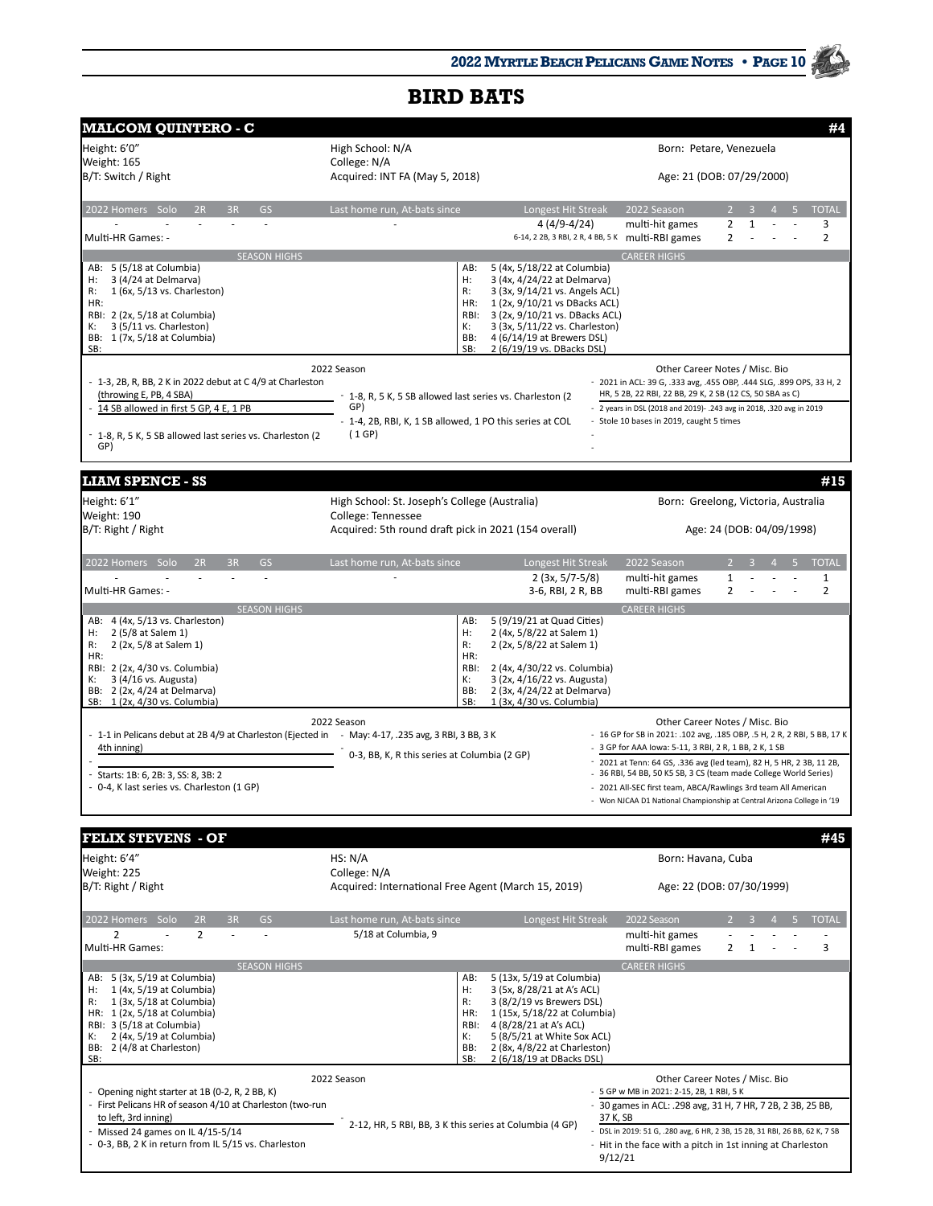| <b>MALCOM QUINTERO - C</b>                                                                          |                                                                   |                                                                 |                           |                                                                                                                                        |                   |   |  |   | #4                  |
|-----------------------------------------------------------------------------------------------------|-------------------------------------------------------------------|-----------------------------------------------------------------|---------------------------|----------------------------------------------------------------------------------------------------------------------------------------|-------------------|---|--|---|---------------------|
| Height: 6'0"                                                                                        | High School: N/A                                                  |                                                                 |                           | Born: Petare, Venezuela                                                                                                                |                   |   |  |   |                     |
| Weight: 165                                                                                         | College: N/A                                                      |                                                                 |                           |                                                                                                                                        |                   |   |  |   |                     |
| B/T: Switch / Right                                                                                 | Acquired: INT FA (May 5, 2018)                                    |                                                                 | Age: 21 (DOB: 07/29/2000) |                                                                                                                                        |                   |   |  |   |                     |
| 2022 Homers Solo<br>2R<br>3R<br>GS<br>$\overline{a}$                                                | Last home run, At-bats since                                      | Longest Hit Streak<br>4 (4/9-4/24)                              |                           | 2022 Season<br>multi-hit games                                                                                                         | 2                 | 1 |  | 5 | <b>TOTAL</b><br>3   |
| Multi-HR Games: -                                                                                   |                                                                   |                                                                 |                           | 6-14, 2 2B, 3 RBI, 2 R, 4 BB, 5 K multi-RBI games                                                                                      | 2                 |   |  |   | $\overline{2}$      |
| <b>SEASON HIGHS</b><br>AB: 5 (5/18 at Columbia)                                                     | AB:                                                               | 5 (4x, 5/18/22 at Columbia)                                     |                           | <b>CAREER HIGHS</b>                                                                                                                    |                   |   |  |   |                     |
| 3 (4/24 at Delmarva)<br>Н:                                                                          | Н:                                                                | 3 (4x, 4/24/22 at Delmarva)                                     |                           |                                                                                                                                        |                   |   |  |   |                     |
| 1 (6x, 5/13 vs. Charleston)<br>R:<br>HR:                                                            | R:<br>HR:                                                         | 3 (3x, 9/14/21 vs. Angels ACL)<br>1 (2x, 9/10/21 vs DBacks ACL) |                           |                                                                                                                                        |                   |   |  |   |                     |
| RBI: 2 (2x, 5/18 at Columbia)                                                                       | RBI:                                                              | 3 (2x, 9/10/21 vs. DBacks ACL)                                  |                           |                                                                                                                                        |                   |   |  |   |                     |
| 3 (5/11 vs. Charleston)<br>К:<br>BB: 1 (7x, 5/18 at Columbia)                                       | К:<br>BB:                                                         | 3 (3x, 5/11/22 vs. Charleston)<br>4 (6/14/19 at Brewers DSL)    |                           |                                                                                                                                        |                   |   |  |   |                     |
| SB:                                                                                                 | SB:                                                               | 2 (6/19/19 vs. DBacks DSL)                                      |                           |                                                                                                                                        |                   |   |  |   |                     |
|                                                                                                     | 2022 Season                                                       |                                                                 |                           | Other Career Notes / Misc. Bio                                                                                                         |                   |   |  |   |                     |
| $-1$ -3, 2B, R, BB, 2 K in 2022 debut at C 4/9 at Charleston                                        |                                                                   |                                                                 |                           | - 2021 in ACL: 39 G, .333 avg, .455 OBP, .444 SLG, .899 OPS, 33 H, 2                                                                   |                   |   |  |   |                     |
| (throwing E, PB, 4 SBA)<br>14 SB allowed in first 5 GP, 4 E, 1 PB                                   | - 1-8, R, 5 K, 5 SB allowed last series vs. Charleston (2)<br>GP) |                                                                 |                           | HR, 5 2B, 22 RBI, 22 BB, 29 K, 2 SB (12 CS, 50 SBA as C)                                                                               |                   |   |  |   |                     |
|                                                                                                     | - 1-4, 2B, RBI, K, 1 SB allowed, 1 PO this series at COL          |                                                                 |                           | - 2 years in DSL (2018 and 2019) -. 243 avg in 2018, .320 avg in 2019<br>- Stole 10 bases in 2019, caught 5 times                      |                   |   |  |   |                     |
| - 1-8, R, 5 K, 5 SB allowed last series vs. Charleston (2<br>GP)                                    | (1 GP)                                                            |                                                                 |                           |                                                                                                                                        |                   |   |  |   |                     |
| <b>LIAM SPENCE - SS</b>                                                                             |                                                                   |                                                                 |                           |                                                                                                                                        |                   |   |  |   | #15                 |
| Height: 6'1"                                                                                        | High School: St. Joseph's College (Australia)                     |                                                                 |                           | Born: Greelong, Victoria, Australia                                                                                                    |                   |   |  |   |                     |
| Weight: 190                                                                                         | College: Tennessee                                                |                                                                 |                           |                                                                                                                                        |                   |   |  |   |                     |
| B/T: Right / Right                                                                                  | Acquired: 5th round draft pick in 2021 (154 overall)              |                                                                 |                           | Age: 24 (DOB: 04/09/1998)                                                                                                              |                   |   |  |   |                     |
| 2022 Homers Solo<br>2R<br>3R<br><b>GS</b>                                                           | Last home run, At-bats since                                      | Longest Hit Streak                                              |                           | 2022 Season                                                                                                                            |                   |   |  |   | <b>TOTAL</b>        |
| L.<br>Multi-HR Games: -                                                                             |                                                                   | $2(3x, 5/7-5/8)$<br>3-6, RBI, 2 R, BB                           |                           | multi-hit games<br>multi-RBI games                                                                                                     | $\mathbf{1}$<br>2 |   |  |   | 1<br>$\overline{2}$ |
| <b>SEASON HIGHS</b>                                                                                 |                                                                   |                                                                 |                           | <b>CAREER HIGHS</b>                                                                                                                    |                   |   |  |   |                     |
| AB: 4 (4x, 5/13 vs. Charleston)<br>2 (5/8 at Salem 1)<br>Н:                                         | AB:<br>Н:                                                         | 5 (9/19/21 at Quad Cities)<br>2 (4x, 5/8/22 at Salem 1)         |                           |                                                                                                                                        |                   |   |  |   |                     |
| R:<br>2 (2x, 5/8 at Salem 1)                                                                        | R:                                                                | 2 (2x, 5/8/22 at Salem 1)                                       |                           |                                                                                                                                        |                   |   |  |   |                     |
| HR:<br>RBI: 2 (2x, 4/30 vs. Columbia)                                                               | HR:<br>RBI:                                                       | 2 (4x, 4/30/22 vs. Columbia)                                    |                           |                                                                                                                                        |                   |   |  |   |                     |
| 3 (4/16 vs. Augusta)<br>к:                                                                          | К:                                                                | 3 (2x, 4/16/22 vs. Augusta)                                     |                           |                                                                                                                                        |                   |   |  |   |                     |
| BB: 2 (2x, 4/24 at Delmarva)<br>SB: 1 (2x, 4/30 vs. Columbia)                                       | BB:<br>SB:                                                        | 2 (3x, 4/24/22 at Delmarva)<br>1 (3x, 4/30 vs. Columbia)        |                           |                                                                                                                                        |                   |   |  |   |                     |
|                                                                                                     | 2022 Season                                                       |                                                                 |                           | Other Career Notes / Misc. Bio                                                                                                         |                   |   |  |   |                     |
| - 1-1 in Pelicans debut at 2B 4/9 at Charleston (Ejected in - May: 4-17, .235 avg, 3 RBI, 3 BB, 3 K |                                                                   |                                                                 |                           | - 16 GP for SB in 2021: .102 avg, .185 OBP, .5 H, 2 R, 2 RBI, 5 BB, 17 K                                                               |                   |   |  |   |                     |
| 4th inning)                                                                                         | 0-3, BB, K, R this series at Columbia (2 GP)                      |                                                                 |                           | 3 GP for AAA lowa: 5-11, 3 RBI, 2 R, 1 BB, 2 K, 1 SB                                                                                   |                   |   |  |   |                     |
| Starts: 1B: 6, 2B: 3, SS: 8, 3B: 2                                                                  |                                                                   |                                                                 |                           | 2021 at Tenn: 64 GS, .336 avg (led team), 82 H, 5 HR, 2 3B, 11 2B,<br>- 36 RBI, 54 BB, 50 K5 SB, 3 CS (team made College World Series) |                   |   |  |   |                     |
| 0-4, K last series vs. Charleston (1 GP)                                                            |                                                                   |                                                                 |                           | 2021 All-SEC first team, ABCA/Rawlings 3rd team All American                                                                           |                   |   |  |   |                     |
|                                                                                                     |                                                                   |                                                                 |                           | - Won NJCAA D1 National Championship at Central Arizona College in '19                                                                 |                   |   |  |   |                     |
| <b>FELIX STEVENS - OF</b>                                                                           |                                                                   |                                                                 |                           |                                                                                                                                        |                   |   |  |   | #45                 |
| Height: 6'4"                                                                                        | HS: N/A                                                           |                                                                 |                           | Born: Havana, Cuba                                                                                                                     |                   |   |  |   |                     |
| Weight: 225                                                                                         | College: N/A                                                      |                                                                 |                           |                                                                                                                                        |                   |   |  |   |                     |
| B/T: Right / Right                                                                                  | Acquired: International Free Agent (March 15, 2019)               |                                                                 |                           | Age: 22 (DOB: 07/30/1999)                                                                                                              |                   |   |  |   |                     |
| 2022 Homers Solo<br>2R<br>3R<br><b>GS</b>                                                           | Last home run, At-bats since                                      | Longest Hit Streak                                              |                           | 2022 Season                                                                                                                            |                   |   |  |   | <b>TOTAL</b>        |
| 2<br>$\overline{2}$<br>L.                                                                           | 5/18 at Columbia, 9                                               |                                                                 |                           | multi-hit games                                                                                                                        |                   |   |  |   |                     |
| Multi-HR Games:<br><b>SEASON HIGHS</b>                                                              |                                                                   |                                                                 |                           | multi-RBI games<br><b>CAREER HIGHS</b>                                                                                                 | 2                 | 1 |  |   | 3                   |
| AB: 5 (3x, 5/19 at Columbia)                                                                        | AB:                                                               | 5 (13x, 5/19 at Columbia)                                       |                           |                                                                                                                                        |                   |   |  |   |                     |
| 1 (4x, 5/19 at Columbia)<br>н:                                                                      | Н:                                                                | 3 (5x, 8/28/21 at A's ACL)                                      |                           |                                                                                                                                        |                   |   |  |   |                     |
| 1 (3x, 5/18 at Columbia)<br>R:<br>HR: 1 (2x, 5/18 at Columbia)                                      | R:<br>HR:                                                         | 3 (8/2/19 vs Brewers DSL)<br>1 (15x, 5/18/22 at Columbia)       |                           |                                                                                                                                        |                   |   |  |   |                     |
| RBI: 3 (5/18 at Columbia)                                                                           | RBI:                                                              | 4 (8/28/21 at A's ACL)                                          |                           |                                                                                                                                        |                   |   |  |   |                     |
| 2 (4x, 5/19 at Columbia)<br>к:<br>BB: 2 (4/8 at Charleston)                                         | К:<br>BB:                                                         | 5 (8/5/21 at White Sox ACL)<br>2 (8x, 4/8/22 at Charleston)     |                           |                                                                                                                                        |                   |   |  |   |                     |
| SB:                                                                                                 | SB:                                                               | 2 (6/18/19 at DBacks DSL)                                       |                           |                                                                                                                                        |                   |   |  |   |                     |
|                                                                                                     | 2022 Season                                                       |                                                                 |                           | Other Career Notes / Misc. Bio                                                                                                         |                   |   |  |   |                     |
| - Opening night starter at 1B (0-2, R, 2 BB, K)                                                     |                                                                   |                                                                 |                           | - 5 GP w MB in 2021: 2-15, 2B, 1 RBI, 5 K                                                                                              |                   |   |  |   |                     |
| - First Pelicans HR of season 4/10 at Charleston (two-run<br>to left, 3rd inning)                   |                                                                   |                                                                 | 37 K, SB                  | - 30 games in ACL: .298 avg, 31 H, 7 HR, 7 2B, 2 3B, 25 BB,                                                                            |                   |   |  |   |                     |
| - Missed 24 games on IL 4/15-5/14                                                                   | 2-12, HR, 5 RBI, BB, 3 K this series at Columbia (4 GP)           |                                                                 |                           | DSL in 2019: 51 G, .280 avg, 6 HR, 2 3B, 15 2B, 31 RBI, 26 BB, 62 K, 7 SB                                                              |                   |   |  |   |                     |
| - 0-3, BB, 2 K in return from IL 5/15 vs. Charleston                                                |                                                                   |                                                                 | 9/12/21                   | - Hit in the face with a pitch in 1st inning at Charleston                                                                             |                   |   |  |   |                     |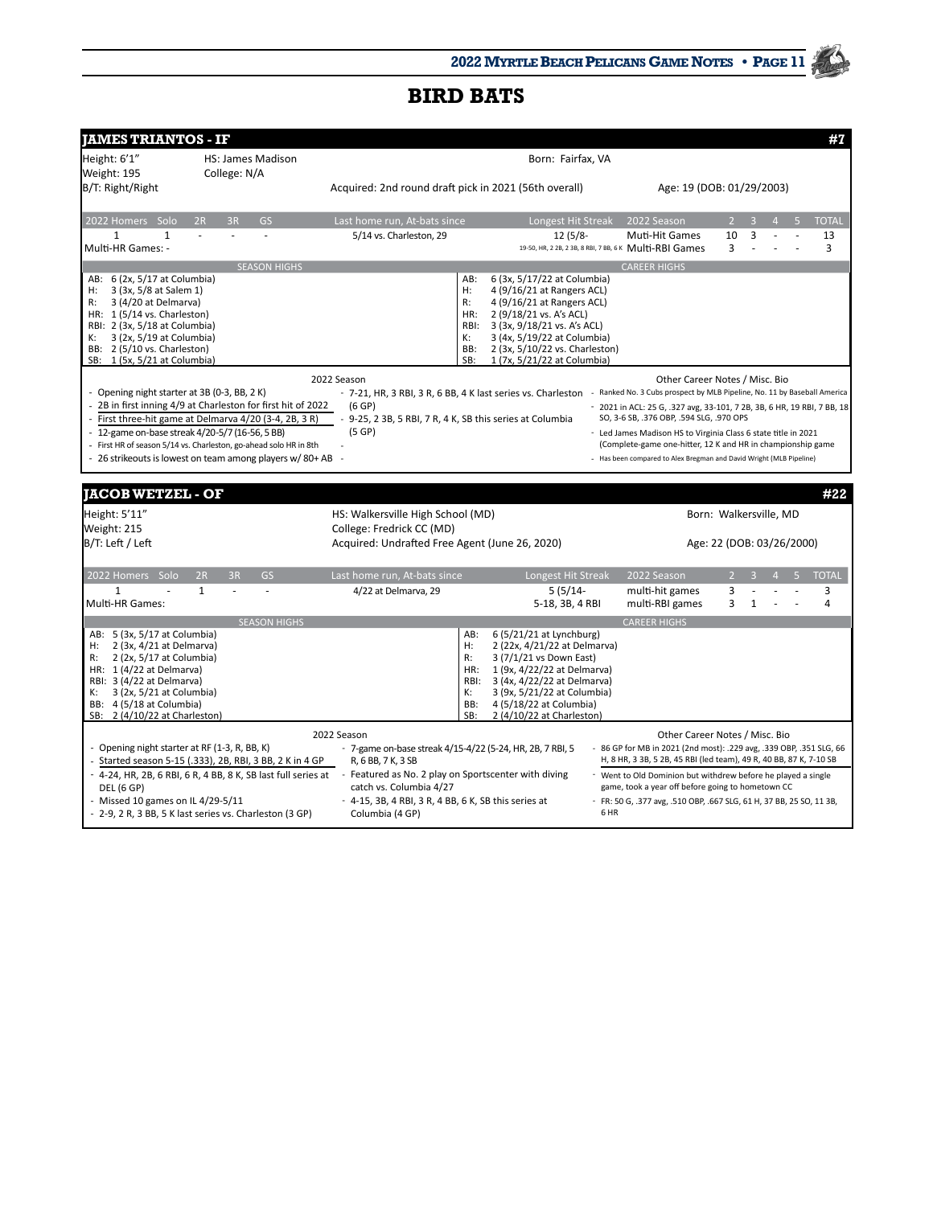| <b>IAMES TRIANTOS - IF</b>                                                                                       |                          |                     |                                                                                                                                               |            |                                                            |      |                                                                                                                               |                |              |                           | #1    |
|------------------------------------------------------------------------------------------------------------------|--------------------------|---------------------|-----------------------------------------------------------------------------------------------------------------------------------------------|------------|------------------------------------------------------------|------|-------------------------------------------------------------------------------------------------------------------------------|----------------|--------------|---------------------------|-------|
| Height: 6'1"                                                                                                     | <b>HS: James Madison</b> |                     |                                                                                                                                               |            | Born: Fairfax, VA                                          |      |                                                                                                                               |                |              |                           |       |
| Weight: 195                                                                                                      | College: N/A             |                     |                                                                                                                                               |            |                                                            |      |                                                                                                                               |                |              |                           |       |
| B/T: Right/Right                                                                                                 |                          |                     | Acquired: 2nd round draft pick in 2021 (56th overall)                                                                                         |            |                                                            |      | Age: 19 (DOB: 01/29/2003)                                                                                                     |                |              |                           |       |
| 2022 Homers Solo                                                                                                 | 2R<br>3R                 | <b>GS</b>           | Last home run, At-bats since                                                                                                                  |            | Longest Hit Streak                                         |      | 2022 Season                                                                                                                   | $\overline{2}$ |              |                           | TOTAL |
| $\mathbf{1}$<br>$\mathbf{1}$                                                                                     |                          |                     | 5/14 vs. Charleston, 29                                                                                                                       |            | $12(5/8-$                                                  |      | Muti-Hit Games                                                                                                                | 10             | 3            |                           | 13    |
| Multi-HR Games: -                                                                                                |                          |                     |                                                                                                                                               |            |                                                            |      | 19-50, HR, 2 2B, 2 3B, 8 RBI, 7 BB, 6 K Multi-RBI Games                                                                       | 3              |              |                           | 3     |
|                                                                                                                  |                          | <b>SEASON HIGHS</b> |                                                                                                                                               |            |                                                            |      | <b>CAREER HIGHS</b>                                                                                                           |                |              |                           |       |
| 6 (2x, 5/17 at Columbia)<br>AB:<br>3 (3x, 5/8 at Salem 1)<br>н:                                                  |                          |                     |                                                                                                                                               | AB:<br>H:  | 6 (3x, 5/17/22 at Columbia)<br>4 (9/16/21 at Rangers ACL)  |      |                                                                                                                               |                |              |                           |       |
| 3 (4/20 at Delmarva)<br>R:                                                                                       |                          |                     |                                                                                                                                               | R:         | 4 (9/16/21 at Rangers ACL)                                 |      |                                                                                                                               |                |              |                           |       |
| HR: 1 (5/14 vs. Charleston)                                                                                      |                          |                     |                                                                                                                                               | HR:        | 2 (9/18/21 vs. A's ACL)                                    |      |                                                                                                                               |                |              |                           |       |
| RBI: 2 (3x, 5/18 at Columbia)<br>3 (2x, 5/19 at Columbia)<br>к:                                                  |                          |                     |                                                                                                                                               | RBI:<br>К: | 3 (3x, 9/18/21 vs. A's ACL)<br>3 (4x, 5/19/22 at Columbia) |      |                                                                                                                               |                |              |                           |       |
| BB: 2 (5/10 vs. Charleston)                                                                                      |                          |                     |                                                                                                                                               | BB:        | 2 (3x, 5/10/22 vs. Charleston)                             |      |                                                                                                                               |                |              |                           |       |
| SB: 1 (5x, 5/21 at Columbia)                                                                                     |                          |                     |                                                                                                                                               | SB:        | 1 (7x, 5/21/22 at Columbia)                                |      |                                                                                                                               |                |              |                           |       |
|                                                                                                                  |                          |                     | 2022 Season                                                                                                                                   |            |                                                            |      | Other Career Notes / Misc. Bio                                                                                                |                |              |                           |       |
| Opening night starter at 3B (0-3, BB, 2K)                                                                        |                          |                     | - 7-21, HR, 3 RBI, 3 R, 6 BB, 4 K last series vs. Charleston - Ranked No. 3 Cubs prospect by MLB Pipeline, No. 11 by Baseball America         |            |                                                            |      |                                                                                                                               |                |              |                           |       |
| 2B in first inning 4/9 at Charleston for first hit of 2022                                                       |                          |                     | (6GP)                                                                                                                                         |            |                                                            |      | 2021 in ACL: 25 G, .327 avg, 33-101, 7 2B, 3B, 6 HR, 19 RBI, 7 BB, 18                                                         |                |              |                           |       |
| First three-hit game at Delmarva 4/20 (3-4, 2B, 3R)                                                              |                          |                     | - 9-25, 2 3B, 5 RBI, 7 R, 4 K, SB this series at Columbia                                                                                     |            |                                                            |      | SO, 3-6 SB, .376 OBP, .594 SLG, .970 OPS                                                                                      |                |              |                           |       |
| 12-game on-base streak 4/20-5/7 (16-56, 5 BB)<br>First HR of season 5/14 vs. Charleston, go-ahead solo HR in 8th |                          |                     | (5GP)                                                                                                                                         |            |                                                            |      | - Led James Madison HS to Virginia Class 6 state title in 2021<br>(Complete-game one-hitter, 12 K and HR in championship game |                |              |                           |       |
| 26 strikeouts is lowest on team among players w/80+AB                                                            |                          |                     |                                                                                                                                               |            |                                                            |      | - Has been compared to Alex Bregman and David Wright (MLB Pipeline)                                                           |                |              |                           |       |
|                                                                                                                  |                          |                     |                                                                                                                                               |            |                                                            |      |                                                                                                                               |                |              |                           |       |
| <b>JACOB WETZEL - OF</b>                                                                                         |                          |                     |                                                                                                                                               |            |                                                            |      |                                                                                                                               |                |              |                           | #22   |
|                                                                                                                  |                          |                     |                                                                                                                                               |            |                                                            |      |                                                                                                                               |                |              |                           |       |
| Height: 5'11"<br>Weight: 215                                                                                     |                          |                     | HS: Walkersville High School (MD)<br>College: Fredrick CC (MD)                                                                                |            |                                                            |      |                                                                                                                               |                |              | Born: Walkersville, MD    |       |
| B/T: Left / Left                                                                                                 |                          |                     | Acquired: Undrafted Free Agent (June 26, 2020)                                                                                                |            |                                                            |      |                                                                                                                               |                |              | Age: 22 (DOB: 03/26/2000) |       |
|                                                                                                                  |                          |                     |                                                                                                                                               |            |                                                            |      |                                                                                                                               |                |              |                           |       |
| 2022 Homers Solo                                                                                                 | 2R<br>3R                 | <b>GS</b>           | Last home run, At-bats since                                                                                                                  |            | Longest Hit Streak                                         |      | 2022 Season                                                                                                                   | $\overline{2}$ | $\mathbf{R}$ |                           | TOTAL |
| $\mathbf{1}$                                                                                                     | $\mathbf{1}$             | ä,                  | 4/22 at Delmarva, 29                                                                                                                          |            | $5(5/14-$                                                  |      | multi-hit games                                                                                                               | 3              |              |                           | 3     |
| Multi-HR Games:                                                                                                  |                          |                     |                                                                                                                                               |            | 5-18, 3B, 4 RBI                                            |      | multi-RBI games                                                                                                               | 3              | 1            |                           | 4     |
|                                                                                                                  |                          | <b>SEASON HIGHS</b> |                                                                                                                                               | AB:        |                                                            |      | <b>CAREER HIGHS</b>                                                                                                           |                |              |                           |       |
| AB: 5 (3x, 5/17 at Columbia)<br>2 (3x, 4/21 at Delmarva)<br>н:                                                   |                          |                     |                                                                                                                                               | $H$ :      | 6 (5/21/21 at Lynchburg)<br>2 (22x, 4/21/22 at Delmarva)   |      |                                                                                                                               |                |              |                           |       |
| 2 (2x, 5/17 at Columbia)<br>R:                                                                                   |                          |                     |                                                                                                                                               | R:         | 3 (7/1/21 vs Down East)                                    |      |                                                                                                                               |                |              |                           |       |
| HR: $1(4/22$ at Delmarva)                                                                                        |                          |                     |                                                                                                                                               | HR:        | 1 (9x, 4/22/22 at Delmarva)                                |      |                                                                                                                               |                |              |                           |       |
| RBI: 3 (4/22 at Delmarva)<br>3 (2x, 5/21 at Columbia)<br>к:                                                      |                          |                     |                                                                                                                                               | RBI:<br>К: | 3 (4x, 4/22/22 at Delmarva)<br>3 (9x, 5/21/22 at Columbia) |      |                                                                                                                               |                |              |                           |       |
| BB: 4 (5/18 at Columbia)                                                                                         |                          |                     |                                                                                                                                               | BB:        | 4 (5/18/22 at Columbia)                                    |      |                                                                                                                               |                |              |                           |       |
| 2 (4/10/22 at Charleston)<br>SB:                                                                                 |                          |                     |                                                                                                                                               | SB:        | 2 (4/10/22 at Charleston)                                  |      |                                                                                                                               |                |              |                           |       |
|                                                                                                                  |                          |                     | 2022 Season                                                                                                                                   |            |                                                            |      | Other Career Notes / Misc. Bio                                                                                                |                |              |                           |       |
| - Opening night starter at RF (1-3, R, BB, K)                                                                    |                          |                     | - 7-game on-base streak 4/15-4/22 (5-24, HR, 2B, 7 RBI, 5                                                                                     |            |                                                            |      | - 86 GP for MB in 2021 (2nd most): .229 avg, .339 OBP, .351 SLG, 66                                                           |                |              |                           |       |
| Started season 5-15 (.333), 2B, RBI, 3 BB, 2 K in 4 GP                                                           |                          |                     | R, 6 BB, 7 K, 3 SB                                                                                                                            |            |                                                            |      | H, 8 HR, 3 3B, 5 2B, 45 RBI (led team), 49 R, 40 BB, 87 K, 7-10 SB                                                            |                |              |                           |       |
| <b>DEL (6 GP)</b>                                                                                                |                          |                     | - 4-24, HR, 2B, 6 RBI, 6 R, 4 BB, 8 K, SB last full series at - Featured as No. 2 play on Sportscenter with diving<br>catch vs. Columbia 4/27 |            |                                                            |      | - Went to Old Dominion but withdrew before he played a single<br>game, took a year off before going to hometown CC            |                |              |                           |       |
| Missed 10 games on IL 4/29-5/11                                                                                  |                          |                     | - 4-15, 3B, 4 RBI, 3 R, 4 BB, 6 K, SB this series at                                                                                          |            |                                                            |      | - FR: 50 G, .377 avg, .510 OBP, .667 SLG, 61 H, 37 BB, 25 SO, 11 3B,                                                          |                |              |                           |       |
| - 2-9, 2 R, 3 BB, 5 K last series vs. Charleston (3 GP)                                                          |                          |                     | Columbia (4 GP)                                                                                                                               |            |                                                            | 6 HR |                                                                                                                               |                |              |                           |       |
|                                                                                                                  |                          |                     |                                                                                                                                               |            |                                                            |      |                                                                                                                               |                |              |                           |       |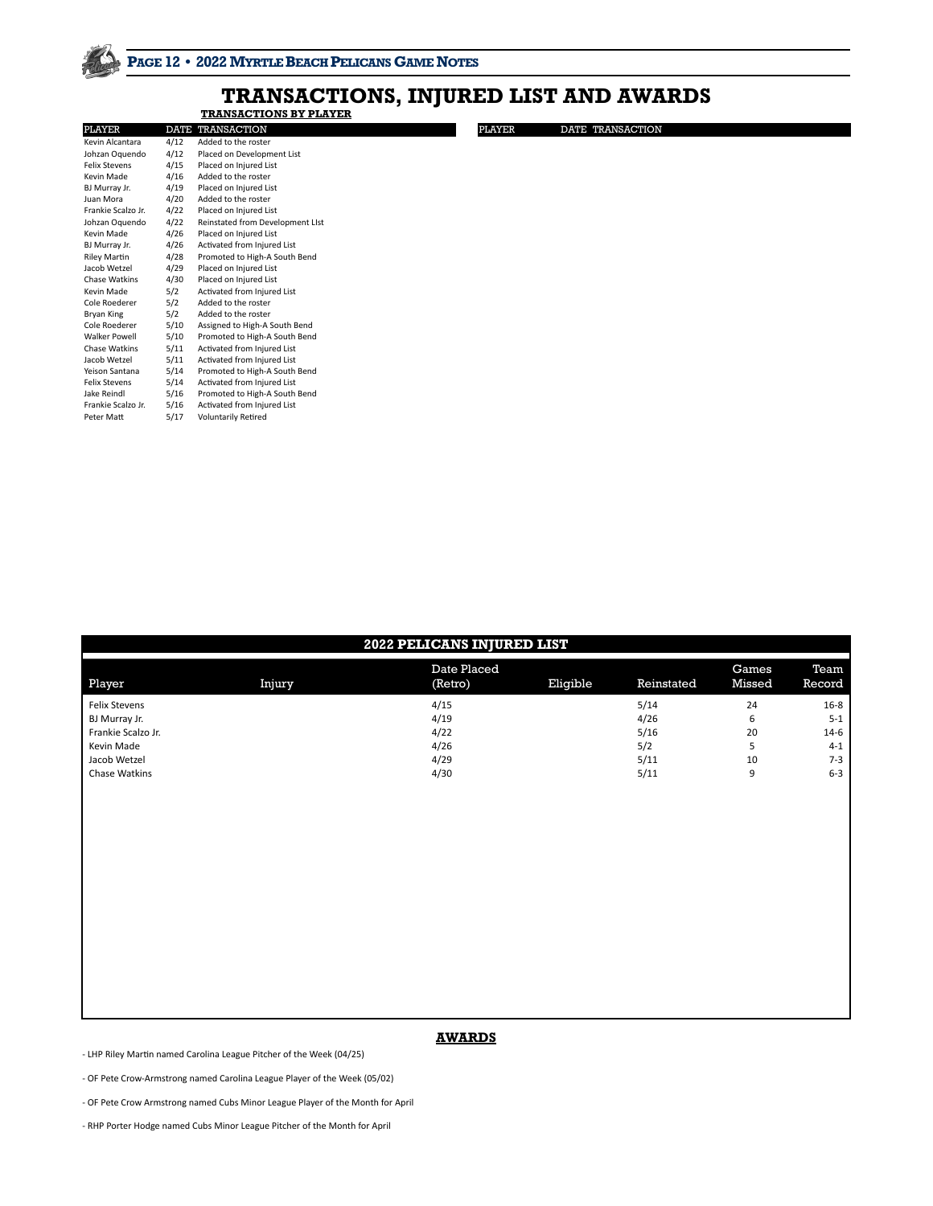# **TRANSACTIONS BY PLAYER TRANSACTIONS, INJURED LIST AND AWARDS**

| PLAYER               |      | DATE TRANSACTION                 | <b>PLAYER</b> | DATE TRANSACTION |
|----------------------|------|----------------------------------|---------------|------------------|
| Kevin Alcantara      | 4/12 | Added to the roster              |               |                  |
| Johzan Oquendo       | 4/12 | Placed on Development List       |               |                  |
| <b>Felix Stevens</b> | 4/15 | Placed on Injured List           |               |                  |
| Kevin Made           | 4/16 | Added to the roster              |               |                  |
| BJ Murray Jr.        | 4/19 | Placed on Injured List           |               |                  |
| Juan Mora            | 4/20 | Added to the roster              |               |                  |
| Frankie Scalzo Jr.   | 4/22 | Placed on Injured List           |               |                  |
| Johzan Oquendo       | 4/22 | Reinstated from Development LIst |               |                  |
| Kevin Made           | 4/26 | Placed on Injured List           |               |                  |
| BJ Murray Jr.        | 4/26 | Activated from Injured List      |               |                  |
| Riley Martin         | 4/28 | Promoted to High-A South Bend    |               |                  |
| Jacob Wetzel         | 4/29 | Placed on Injured List           |               |                  |
| Chase Watkins        | 4/30 | Placed on Injured List           |               |                  |
| Kevin Made           | 5/2  | Activated from Injured List      |               |                  |
| Cole Roederer        | 5/2  | Added to the roster              |               |                  |
| Bryan King           | 5/2  | Added to the roster              |               |                  |
| Cole Roederer        | 5/10 | Assigned to High-A South Bend    |               |                  |
| Walker Powell        | 5/10 | Promoted to High-A South Bend    |               |                  |
| Chase Watkins        | 5/11 | Activated from Injured List      |               |                  |
| Jacob Wetzel         | 5/11 | Activated from Injured List      |               |                  |
| Yeison Santana       | 5/14 | Promoted to High-A South Bend    |               |                  |
| Felix Stevens        | 5/14 | Activated from Injured List      |               |                  |
| Jake Reindl          | 5/16 | Promoted to High-A South Bend    |               |                  |
| Frankie Scalzo Jr.   | 5/16 | Activated from Injured List      |               |                  |
|                      |      | <b>Voluntarily Retired</b>       |               |                  |

| 2022 PELICANS INJURED LIST                                                                          |        |                                              |          |                                             |                               |                                                                |  |  |  |
|-----------------------------------------------------------------------------------------------------|--------|----------------------------------------------|----------|---------------------------------------------|-------------------------------|----------------------------------------------------------------|--|--|--|
| Player                                                                                              | Injury | Date Placed<br>(Retro)                       | Eligible | Reinstated                                  | Games<br>Missed               | Team<br>Record                                                 |  |  |  |
| Felix Stevens<br>BJ Murray Jr.<br>Frankie Scalzo Jr.<br>Kevin Made<br>Jacob Wetzel<br>Chase Watkins |        | 4/15<br>4/19<br>4/22<br>4/26<br>4/29<br>4/30 |          | 5/14<br>4/26<br>5/16<br>5/2<br>5/11<br>5/11 | 24<br>6<br>20<br>5<br>10<br>9 | $16 - 8$<br>$5 - 1$<br>$14-6$<br>$4 - 1$<br>$7 - 3$<br>$6 - 3$ |  |  |  |

### **AWARDS**

- LHP Riley Martin named Carolina League Pitcher of the Week (04/25)

- OF Pete Crow-Armstrong named Carolina League Player of the Week (05/02)

- OF Pete Crow Armstrong named Cubs Minor League Player of the Month for April

- RHP Porter Hodge named Cubs Minor League Pitcher of the Month for April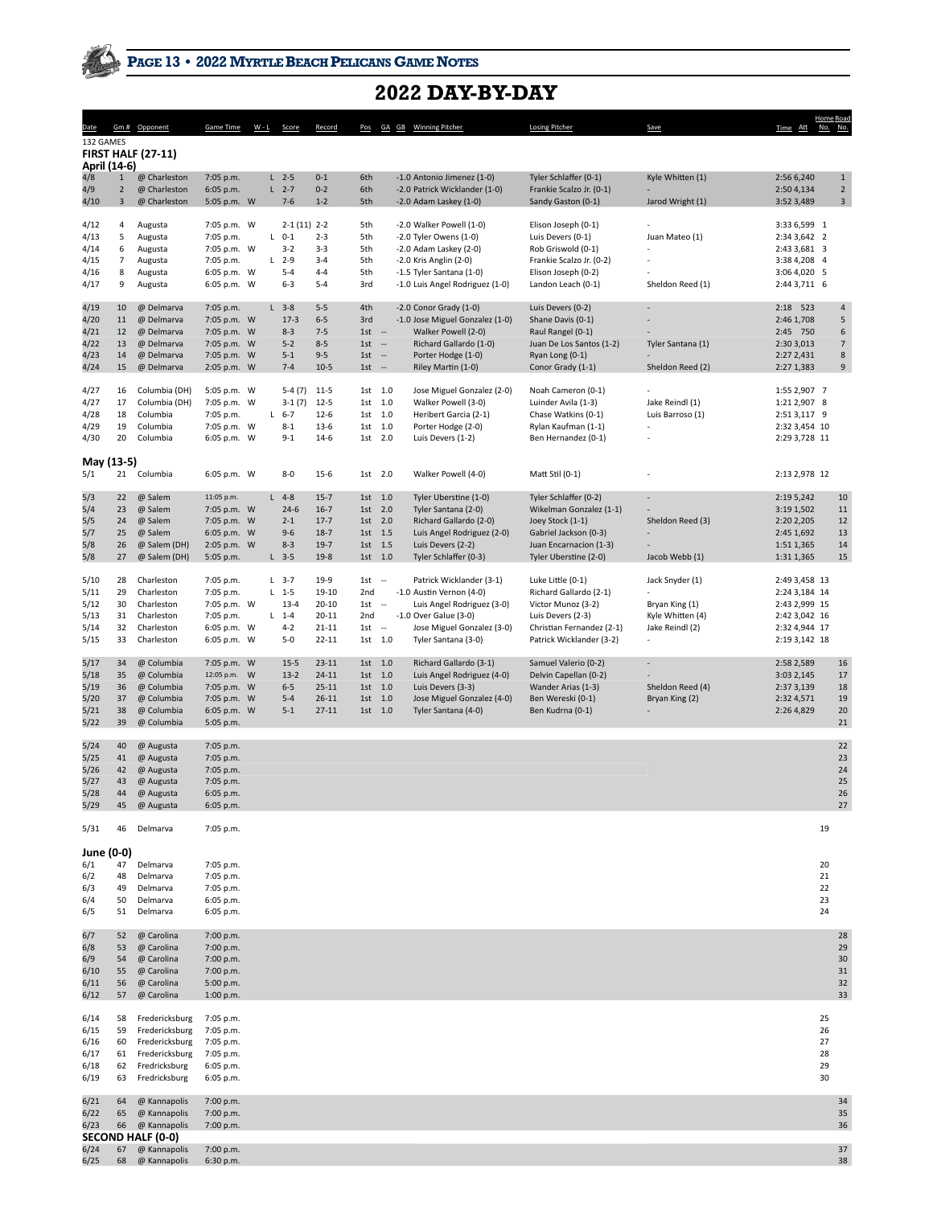## **2022 DAY-BY-DAY**

| <u>Date</u>                                   |                                         | Gm # Opponent                                                                                          | <b>Game Time</b>                                                                      | $W - L$ | Score                                                                | Record                                                        |                                                            |                                    | Pos GA GB Winning Pitcher                                                                                                                                               | <b>Losing Pitcher</b>                                                                                                                            | <b>Save</b>                                                                                          | Time Att                                                                                           | Home Road<br>No. No.             |                                         |
|-----------------------------------------------|-----------------------------------------|--------------------------------------------------------------------------------------------------------|---------------------------------------------------------------------------------------|---------|----------------------------------------------------------------------|---------------------------------------------------------------|------------------------------------------------------------|------------------------------------|-------------------------------------------------------------------------------------------------------------------------------------------------------------------------|--------------------------------------------------------------------------------------------------------------------------------------------------|------------------------------------------------------------------------------------------------------|----------------------------------------------------------------------------------------------------|----------------------------------|-----------------------------------------|
| 132 GAMES<br>April (14-6)                     |                                         | <b>FIRST HALF (27-11)</b>                                                                              |                                                                                       |         |                                                                      |                                                               |                                                            |                                    |                                                                                                                                                                         |                                                                                                                                                  |                                                                                                      |                                                                                                    |                                  |                                         |
| 4/8<br>4/9<br>4/10                            | $\mathbf{1}$<br>$\overline{2}$<br>3     | @ Charleston<br>@ Charleston<br>@ Charleston                                                           | 7:05 p.m.<br>6:05 p.m.<br>5:05 p.m. W                                                 |         | $L$ 2-5<br>$L$ 2-7<br>$7 - 6$                                        | $0 - 1$<br>$0 - 2$<br>$1 - 2$                                 | 6th<br>6th<br>5th                                          |                                    | -1.0 Antonio Jimenez (1-0)<br>-2.0 Patrick Wicklander (1-0)<br>$-2.0$ Adam Laskey (1-0)                                                                                 | Tyler Schlaffer (0-1)<br>Frankie Scalzo Jr. (0-1)<br>Sandy Gaston (0-1)                                                                          | Kyle Whitten (1)<br>Jarod Wright (1)                                                                 | 2:56 6,240<br>2:50 4,134<br>3:52 3,489                                                             |                                  | $\mathbf{1}$<br>$\mathbf 2$<br>3        |
| 4/12<br>4/13<br>4/14<br>4/15<br>4/16<br>4/17  | 4<br>5<br>6<br>$\overline{7}$<br>8<br>9 | Augusta<br>Augusta<br>Augusta<br>Augusta<br>Augusta<br>Augusta                                         | 7:05 p.m. W<br>7:05 p.m.<br>7:05 p.m. W<br>7:05 p.m.<br>6:05 p.m. W<br>6:05 p.m. W    |         | $2-1(11)$ 2-2<br>$L$ 0-1<br>$3 - 2$<br>$L$ 2-9<br>$5 - 4$<br>$6 - 3$ | $2 - 3$<br>$3 - 3$<br>$3 - 4$<br>$4 - 4$<br>$5 - 4$           | 5th<br>5th<br>5th<br>5th<br>5th<br>3rd                     |                                    | -2.0 Walker Powell (1-0)<br>-2.0 Tyler Owens (1-0)<br>$-2.0$ Adam Laskey (2-0)<br>-2.0 Kris Anglin (2-0)<br>-1.5 Tyler Santana (1-0)<br>-1.0 Luis Angel Rodriguez (1-0) | Elison Joseph (0-1)<br>Luis Devers (0-1)<br>Rob Griswold (0-1)<br>Frankie Scalzo Jr. (0-2)<br>Elison Joseph (0-2)<br>Landon Leach (0-1)          | Juan Mateo (1)<br>Sheldon Reed (1)                                                                   | 3:33 6,599 1<br>2:34 3,642 2<br>2:43 3,681 3<br>3:38 4,208 4<br>3:06 4,020 5<br>2:44 3,711 6       |                                  |                                         |
| 4/19<br>4/20<br>4/21<br>4/22<br>4/23<br>4/24  | 10<br>11<br>12<br>13<br>14<br>15        | @ Delmarva<br>@ Delmarva<br>@ Delmarva<br>@ Delmarva<br>@ Delmarva<br>@ Delmarva                       | 7:05 p.m.<br>7:05 p.m. W<br>7:05 p.m. W<br>7:05 p.m. W<br>7:05 p.m. W<br>2:05 p.m. W  |         | $L$ 3-8<br>$17-3$<br>$8 - 3$<br>$5 - 2$<br>$5 - 1$<br>$7 - 4$        | $5 - 5$<br>$6 - 5$<br>$7 - 5$<br>$8 - 5$<br>$9 - 5$<br>$10-5$ | 4th<br>3rd<br>$1st -$<br>1st<br>1st<br>$1st -$             | $\sim$<br>$\sim$                   | $-2.0$ Conor Grady $(1-0)$<br>-1.0 Jose Miguel Gonzalez (1-0)<br>Walker Powell (2-0)<br>Richard Gallardo (1-0)<br>Porter Hodge (1-0)<br>Riley Martin (1-0)              | Luis Devers (0-2)<br>Shane Davis (0-1)<br>Raul Rangel (0-1)<br>Juan De Los Santos (1-2)<br>Ryan Long (0-1)<br>Conor Grady (1-1)                  | Tyler Santana (1)<br>Sheldon Reed (2)                                                                | 2:18 523<br>2:46 1,708<br>2:45 750<br>2:30 3,013<br>2:27 2,431<br>2:27 1,383                       |                                  | 4<br>5<br>6<br>$\overline{7}$<br>8<br>9 |
| 4/27<br>4/27<br>4/28<br>4/29<br>4/30          | 16<br>17<br>18<br>19<br>20              | Columbia (DH)<br>Columbia (DH)<br>Columbia<br>Columbia<br>Columbia                                     | 5:05 p.m. W<br>7:05 p.m. W<br>7:05 p.m.<br>7:05 p.m. W<br>6:05 p.m. W                 | L.      | $5-4(7)$<br>$3-1(7)$<br>$6 - 7$<br>$8 - 1$<br>$9 - 1$                | $11-5$<br>$12 - 5$<br>$12-6$<br>$13-6$<br>$14-6$              | 1st 1.0<br>1st 1.0<br>1st 1.0<br>1st 1.0<br>1st 2.0        |                                    | Jose Miguel Gonzalez (2-0)<br>Walker Powell (3-0)<br>Heribert Garcia (2-1)<br>Porter Hodge (2-0)<br>Luis Devers (1-2)                                                   | Noah Cameron (0-1)<br>Luinder Avila (1-3)<br>Chase Watkins (0-1)<br>Rylan Kaufman (1-1)<br>Ben Hernandez (0-1)                                   | Jake Reindl (1)<br>Luis Barroso (1)                                                                  | 1:55 2,907 7<br>1:21 2,907 8<br>2:51 3,117 9<br>2:32 3,454 10<br>2:29 3,728 11                     |                                  |                                         |
| May (13-5)<br>5/1                             |                                         | 21 Columbia                                                                                            | 6:05 p.m. W                                                                           |         | $8 - 0$                                                              | $15-6$                                                        | 1st 2.0                                                    |                                    | Walker Powell (4-0)                                                                                                                                                     | Matt Stil (0-1)                                                                                                                                  |                                                                                                      | 2:13 2,978 12                                                                                      |                                  |                                         |
| 5/3<br>5/4<br>5/5<br>5/7<br>5/8<br>5/8        | 22<br>23<br>24<br>25<br>26<br>27        | @ Salem<br>@ Salem<br>@ Salem<br>@ Salem<br>@ Salem (DH)<br>@ Salem (DH)                               | 11:05 p.m.<br>7:05 p.m. W<br>7:05 p.m. W<br>6:05 p.m. W<br>2:05 p.m. W<br>5:05 p.m.   |         | $L$ 4-8<br>$24-6$<br>$2 - 1$<br>$9 - 6$<br>$8 - 3$<br>$L$ 3-5        | $15-7$<br>$16-7$<br>$17-7$<br>$18-7$<br>$19-7$<br>$19-8$      | 1st 1.0<br>1st<br>1st 2.0<br>1st 1.5<br>1st 1.5<br>1st 1.0 | 2.0                                | Tyler Uberstine (1-0)<br>Tyler Santana (2-0)<br>Richard Gallardo (2-0)<br>Luis Angel Rodriguez (2-0)<br>Luis Devers (2-2)<br>Tyler Schlaffer (0-3)                      | Tyler Schlaffer (0-2)<br>Wikelman Gonzalez (1-1)<br>Joey Stock (1-1)<br>Gabriel Jackson (0-3)<br>Juan Encarnacion (1-3)<br>Tyler Uberstine (2-0) | ٠<br>Sheldon Reed (3)<br>Jacob Webb (1)                                                              | 2:19 5,242<br>3:19 1,502<br>2:20 2,205<br>2:45 1,692<br>1:51 1,365<br>1:31 1,365                   |                                  | 10<br>11<br>12<br>13<br>14<br>15        |
| 5/10<br>5/11<br>5/12<br>5/13<br>5/14<br>5/15  | 28<br>29<br>30<br>31<br>32<br>33        | Charleston<br>Charleston<br>Charleston<br>Charleston<br>Charleston<br>Charleston                       | 7:05 p.m.<br>7:05 p.m.<br>7:05 p.m. W<br>7:05 p.m.<br>6:05 p.m. W<br>6:05 p.m. W      |         | $L$ 3-7<br>$L$ 1-5<br>$13 - 4$<br>$L$ 1-4<br>$4 - 2$<br>$5 - 0$      | 19-9<br>19-10<br>20-10<br>20-11<br>21-11<br>22-11             | $1st -$<br>2nd<br>1st<br>2nd<br>1st<br>1st 1.0             | $\sim$<br>$\overline{\phantom{a}}$ | Patrick Wicklander (3-1)<br>-1.0 Austin Vernon (4-0)<br>Luis Angel Rodriguez (3-0)<br>-1.0 Over Galue (3-0)<br>Jose Miguel Gonzalez (3-0)<br>Tyler Santana (3-0)        | Luke Little (0-1)<br>Richard Gallardo (2-1)<br>Victor Munoz (3-2)<br>Luis Devers (2-3)<br>Christian Fernandez (2-1)<br>Patrick Wicklander (3-2)  | Jack Snyder (1)<br>Bryan King (1)<br>Kyle Whitten (4)<br>Jake Reindl (2)<br>$\overline{\phantom{0}}$ | 2:49 3,458 13<br>2:24 3,184 14<br>2:43 2,999 15<br>2:42 3,042 16<br>2:32 4,944 17<br>2:19 3,142 18 |                                  |                                         |
| 5/17<br>5/18<br>5/19<br>5/20<br>5/21<br>5/22  | 34<br>35<br>36<br>37<br>38<br>39        | @ Columbia<br>@ Columbia<br>@ Columbia<br>@ Columbia<br>@ Columbia<br>@ Columbia                       | 7:05 p.m. W<br>12:05 p.m. W<br>7:05 p.m. W<br>7:05 p.m. W<br>6:05 p.m. W<br>5:05 p.m. |         | $15 - 5$<br>$13-2$<br>$6 - 5$<br>$5 - 4$<br>$5 - 1$                  | $23-11$<br>$24 - 11$<br>$25-11$<br>$26 - 11$<br>$27 - 11$     | 1st 1.0<br>1st<br>1st 1.0<br>1st 1.0<br>1st 1.0            | 1.0                                | Richard Gallardo (3-1)<br>Luis Angel Rodriguez (4-0)<br>Luis Devers (3-3)<br>Jose Miguel Gonzalez (4-0)<br>Tyler Santana (4-0)                                          | Samuel Valerio (0-2)<br>Delvin Capellan (0-2)<br>Wander Arias (1-3)<br>Ben Wereski (0-1)<br>Ben Kudrna (0-1)                                     | $\overline{\phantom{a}}$<br>Sheldon Reed (4)<br>Bryan King (2)                                       | 2:58 2,589<br>3:03 2,145<br>2:37 3,139<br>2:32 4,571<br>2:26 4,829                                 |                                  | 16<br>17<br>18<br>19<br>20<br>21        |
| 5/24<br>5/25<br>5/26<br>5/27<br>5/28<br>5/29  | 40<br>41<br>42<br>43<br>44<br>45        | @ Augusta<br>@ Augusta<br>@ Augusta<br>@ Augusta<br>@ Augusta<br>@ Augusta                             | 7:05 p.m.<br>7:05 p.m.<br>7:05 p.m.<br>7:05 p.m.<br>6:05 p.m.<br>6:05 p.m.            |         |                                                                      |                                                               |                                                            |                                    |                                                                                                                                                                         |                                                                                                                                                  |                                                                                                      |                                                                                                    |                                  | 22<br>23<br>24<br>25<br>26<br>27        |
| 5/31                                          | 46                                      | Delmarva                                                                                               | 7:05 p.m.                                                                             |         |                                                                      |                                                               |                                                            |                                    |                                                                                                                                                                         |                                                                                                                                                  |                                                                                                      |                                                                                                    | 19                               |                                         |
| June (0-0)<br>6/1<br>6/2<br>6/3<br>6/4<br>6/5 | 47<br>48<br>49<br>50<br>51              | Delmarva<br>Delmarva<br>Delmarva<br>Delmarva<br>Delmarva                                               | 7:05 p.m.<br>7:05 p.m.<br>7:05 p.m.<br>6:05 p.m.<br>6:05 p.m.                         |         |                                                                      |                                                               |                                                            |                                    |                                                                                                                                                                         |                                                                                                                                                  |                                                                                                      |                                                                                                    | 20<br>21<br>22<br>23<br>24       |                                         |
| 6/7<br>6/8<br>6/9<br>6/10<br>6/11<br>6/12     | 52<br>53<br>54<br>55<br>56<br>57        | @ Carolina<br>@ Carolina<br>@ Carolina<br>@ Carolina<br>@ Carolina<br>@ Carolina                       | 7:00 p.m.<br>7:00 p.m.<br>7:00 p.m.<br>7:00 p.m.<br>5:00 p.m.<br>1:00 p.m.            |         |                                                                      |                                                               |                                                            |                                    |                                                                                                                                                                         |                                                                                                                                                  |                                                                                                      |                                                                                                    |                                  | 28<br>29<br>30<br>31<br>32<br>33        |
| 6/14<br>6/15<br>6/16<br>6/17<br>6/18<br>6/19  | 58<br>59<br>60<br>61<br>62<br>63        | Fredericksburg<br>Fredericksburg<br>Fredericksburg<br>Fredericksburg<br>Fredricksburg<br>Fredricksburg | 7:05 p.m.<br>7:05 p.m.<br>7:05 p.m.<br>7:05 p.m.<br>6:05 p.m.<br>6:05 p.m.            |         |                                                                      |                                                               |                                                            |                                    |                                                                                                                                                                         |                                                                                                                                                  |                                                                                                      |                                                                                                    | 25<br>26<br>27<br>28<br>29<br>30 |                                         |
| 6/21<br>6/22                                  | 64<br>65                                | @ Kannapolis<br>@ Kannapolis                                                                           | 7:00 p.m.<br>7:00 p.m.                                                                |         |                                                                      |                                                               |                                                            |                                    |                                                                                                                                                                         |                                                                                                                                                  |                                                                                                      |                                                                                                    |                                  | 34<br>35                                |
| 6/23<br>6/24<br>6/25                          | 66<br>67<br>68                          | @ Kannapolis<br>SECOND HALF (0-0)<br>@ Kannapolis<br>@ Kannapolis                                      | 7:00 p.m.<br>7:00 p.m.<br>6:30 p.m.                                                   |         |                                                                      |                                                               |                                                            |                                    |                                                                                                                                                                         |                                                                                                                                                  |                                                                                                      |                                                                                                    |                                  | 36<br>37<br>38                          |